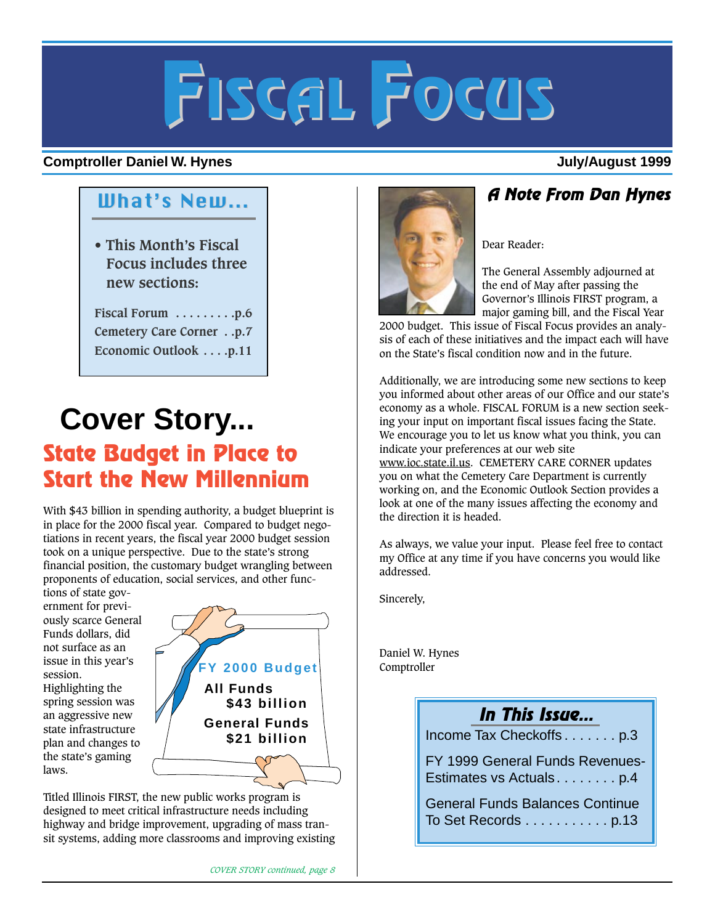# **FISCAL FOCUS**

#### **Comptroller Daniel W. Hynes July/August 1999**

**• This Month's Fiscal Focus includes three new sections:** 

**Fiscal Forum . . . . . . . . .p.6 Cemetery Care Corner . .p.7 Economic Outlook . . . .p.11**

## **Cover Story... State Budget in Place to Start the New Millennium**

With \$43 billion in spending authority, a budget blueprint is in place for the 2000 fiscal year. Compared to budget negotiations in recent years, the fiscal year 2000 budget session took on a unique perspective. Due to the state's strong financial position, the customary budget wrangling between proponents of education, social services, and other func-

tions of state government for previously scarce General Funds dollars, did not surface as an issue in this year's session.

Highlighting the spring session was an aggressive new state infrastructure plan and changes to the state's gaming laws.



Titled Illinois FIRST, the new public works program is designed to meet critical infrastructure needs including highway and bridge improvement, upgrading of mass transit systems, adding more classrooms and improving existing



## What's New... **A Note From Dan Hynes**

Dear Reader:

The General Assembly adjourned at the end of May after passing the Governor's Illinois FIRST program, a major gaming bill, and the Fiscal Year

2000 budget. This issue of Fiscal Focus provides an analysis of each of these initiatives and the impact each will have on the State's fiscal condition now and in the future.

Additionally, we are introducing some new sections to keep you informed about other areas of our Office and our state's economy as a whole. FISCAL FORUM is a new section seeking your input on important fiscal issues facing the State. We encourage you to let us know what you think, you can indicate your preferences at our web site www.ioc.state.il.us. CEMETERY CARE CORNER updates you on what the Cemetery Care Department is currently working on, and the Economic Outlook Section provides a look at one of the many issues affecting the economy and the direction it is headed.

As always, we value your input. Please feel free to contact my Office at any time if you have concerns you would like addressed.

Sincerely,

Daniel W. Hynes Comptroller

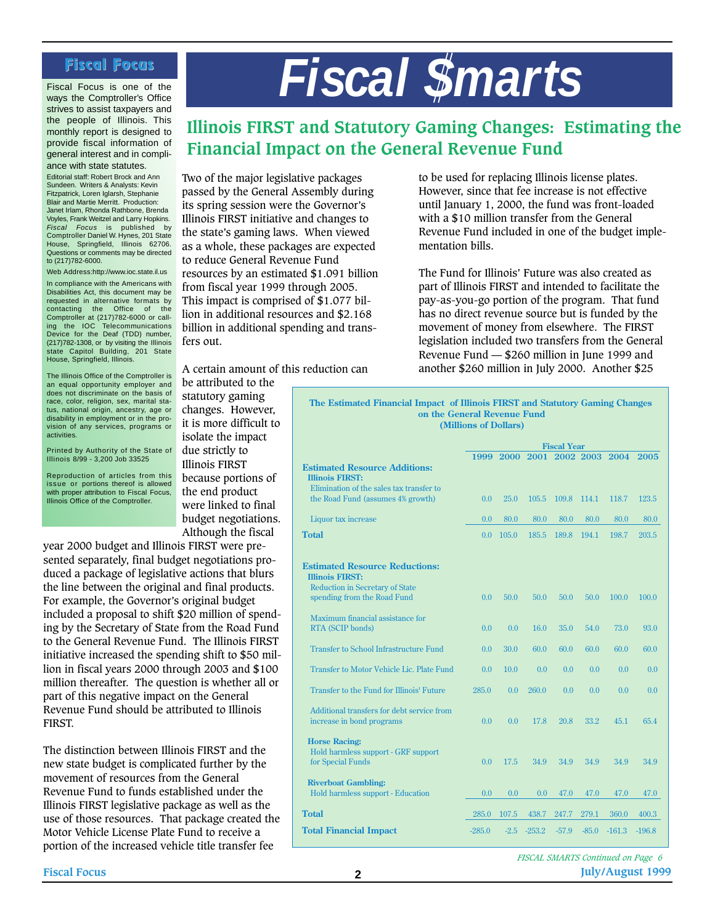Fiscal Focus is one of the ways the Comptroller's Office strives to assist taxpayers and the people of Illinois. This monthly report is designed to provide fiscal information of general interest and in compliance with state statutes.

Editorial staff: Robert Brock and Ann Sundeen. Writers & Analysts: Kevin Fitzpatrick, Loren Iglarsh, Stephanie Blair and Martie Merritt. Production: Janet Irlam, Rhonda Rathbone, Brenda Voyles, Frank Weitzel and Larry Hopkins. Fiscal Focus is published by Comptroller Daniel W. Hynes, 201 State House, Springfield, Illinois 62706. Questions or comments may be directed to (217)782-6000.

Web Address:http://www.ioc.state.il.us In compliance with the Americans with Disabilities Act, this document may be requested in alternative formats by contacting the Office of the Comptroller at (217)782-6000 or call-ing the IOC Telecommunications Device for the Deaf (TDD) number, (217)782-1308, or by visiting the Illinois state Capitol Building, 201 State House, Springfield, Illinois.

The Illinois Office of the Comptroller is an equal opportunity employer and does not discriminate on the basis of race, color, religion, sex, marital status, national origin, ancestry, age or disability in employment or in the provision of any services, programs or activities.

Printed by Authority of the State of Illinois 8/99 - 3,200 Job 33525

Reproduction of articles from this issue or portions thereof is allowed with proper attribution to Fiscal Focus, Illinois Office of the Comptroller.

Fiscal Focus<br>**Fiscal Focus** *Fiscal Smarts* 

#### **Illinois FIRST and Statutory Gaming Changes: Estimating the Financial Impact on the General Revenue Fund**

Two of the major legislative packages passed by the General Assembly during its spring session were the Governor's Illinois FIRST initiative and changes to the state's gaming laws. When viewed as a whole, these packages are expected to reduce General Revenue Fund resources by an estimated \$1.091 billion from fiscal year 1999 through 2005. This impact is comprised of \$1.077 billion in additional resources and \$2.168 billion in additional spending and transfers out.

to be used for replacing Illinois license plates. However, since that fee increase is not effective until January 1, 2000, the fund was front-loaded with a \$10 million transfer from the General Revenue Fund included in one of the budget implementation bills.

The Fund for Illinois' Future was also created as part of Illinois FIRST and intended to facilitate the pay-as-you-go portion of the program. That fund has no direct revenue source but is funded by the movement of money from elsewhere. The FIRST legislation included two transfers from the General Revenue Fund — \$260 million in June 1999 and another \$260 million in July 2000. Another \$25

A certain amount of this reduction can be attributed to the

statutory gaming changes. However, it is more difficult to isolate the impact due strictly to Illinois FIRST because portions of the end product were linked to final budget negotiations. Although the fiscal

year 2000 budget and Illinois FIRST were presented separately, final budget negotiations produced a package of legislative actions that blurs the line between the original and final products. For example, the Governor's original budget included a proposal to shift \$20 million of spending by the Secretary of State from the Road Fund to the General Revenue Fund. The Illinois FIRST initiative increased the spending shift to \$50 million in fiscal years 2000 through 2003 and \$100 million thereafter. The question is whether all or part of this negative impact on the General Revenue Fund should be attributed to Illinois FIRST.

The distinction between Illinois FIRST and the new state budget is complicated further by the movement of resources from the General Revenue Fund to funds established under the Illinois FIRST legislative package as well as the use of those resources. That package created the Motor Vehicle License Plate Fund to receive a portion of the increased vehicle title transfer fee

**(Millions of Dollars) The Estimated Financial Impact of Illinois FIRST and Statutory Gaming Changes on the General Revenue Fund**

|                                                                                  | <b>Fiscal Year</b> |        |          |           |         |          |          |  |
|----------------------------------------------------------------------------------|--------------------|--------|----------|-----------|---------|----------|----------|--|
| <b>Estimated Resource Additions:</b>                                             | 1999               | 2000   | 2001     | 2002 2003 |         | 2004     | 2005     |  |
| <b>Illinois FIRST:</b>                                                           |                    |        |          |           |         |          |          |  |
| Elimination of the sales tax transfer to<br>the Road Fund (assumes 4% growth)    | 0.0                | 25.0   | 105.5    | 109.8     | 114.1   | 118.7    | 123.5    |  |
| Liquor tax increase                                                              | 0.0                | 80.0   | 80.0     | 80.0      | 80.0    | 80.0     | 80.0     |  |
| Total                                                                            | 0.0                | 105.0  | 185.5    | 189.8     | 194.1   | 198.7    | 203.5    |  |
| <b>Estimated Resource Reductions:</b><br><b>Illinois FIRST:</b>                  |                    |        |          |           |         |          |          |  |
| <b>Reduction in Secretary of State</b><br>spending from the Road Fund            | 0.0                | 50.0   | 50.0     | 50.0      | 50.0    | 100.0    | 100.0    |  |
| Maximum financial assistance for<br><b>RTA</b> (SCIP bonds)                      | 0.0                | 0.0    | 16.0     | 35.0      | 54.0    | 73.0     | 93.0     |  |
| <b>Transfer to School Infrastructure Fund</b>                                    | 0.0                | 30.0   | 60.0     | 60.0      | 60.0    | 60.0     | 60.0     |  |
| Transfer to Motor Vehicle Lic. Plate Fund                                        | 0.0                | 10.0   | 0.0      | 0.0       | 0.0     | 0.0      | 0.0      |  |
| Transfer to the Fund for Illinois' Future                                        | 285.0              | 0.0    | 260.0    | 0.0       | 0.0     | 0.0      | 0.0      |  |
| Additional transfers for debt service from<br>increase in bond programs          | 0.0                | 0.0    | 17.8     | 20.8      | 33.2    | 45.1     | 65.4     |  |
| <b>Horse Racing:</b><br>Hold harmless support - GRF support<br>for Special Funds | 0.0                | 17.5   | 34.9     | 34.9      | 34.9    | 34.9     | 34.9     |  |
| <b>Riverboat Gambling:</b><br><b>Hold harmless support - Education</b>           | 0.0                | 0.0    | 0.0      | 47.0      | 47.0    | 47.0     | 47.0     |  |
| Total                                                                            | 285.0              | 107.5  | 438.7    | 247.7     | 279.1   | 360.0    | 400.3    |  |
| <b>Total Financial Impact</b>                                                    | $-285.0$           | $-2.5$ | $-253.2$ | $-57.9$   | $-85.0$ | $-161.3$ | $-196.8$ |  |

**Fiscal Focus 2 July/August 1999** *FISCAL SMARTS Continued on Page 6*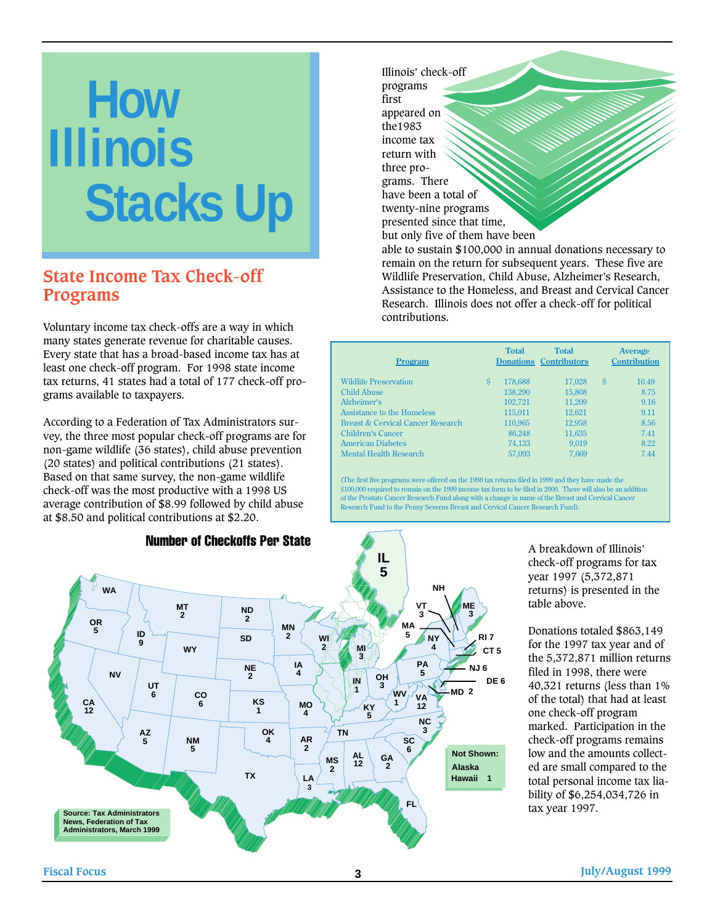# **How Illinois Stacks Up**

#### **State Income Tax Check-off Programs**

Voluntary income tax check-offs are a way in which many states generate revenue for charitable causes. Every state that has a broad-based income tax has at least one check-off program. For 1998 state income tax returns, 41 states had a total of 177 check-off programs available to taxpayers.

According to a Federation of Tax Administrators survey, the three most popular check-off programs are for non-game wildlife (36 states), child abuse prevention (20 states) and political contributions (21 states). Based on that same survey, the non-game wildlife check-off was the most productive with a 1998 US average contribution of \$8.99 followed by child abuse at \$8.50 and political contributions at \$2.20.



Number of Checkoffs Per State

Illinois' check-off programs first appeared on the1983 income tax return with three programs. There have been a total of twenty-nine programs presented since that time, but only five of them have been

able to sustain \$100,000 in annual donations necessary to remain on the return for subsequent years. These five are Wildlife Preservation, Child Abuse, Alzheimer's Research, Assistance to the Homeless, and Breast and Cervical Cancer Research. Illinois does not offer a check-off for political contributions.

| Program                           |   | <b>Total</b> | <b>Total</b><br><b>Donations Contributors</b> |   | <b>Average</b><br><b>Contribution</b> |
|-----------------------------------|---|--------------|-----------------------------------------------|---|---------------------------------------|
| <b>Wildlife Preservation</b>      | S | 178,688      | 17,028                                        | S | 10.49                                 |
| <b>Child Abuse</b>                |   | 138,290      | 15,808                                        |   | 8.75                                  |
| Alzheimer's                       |   | 102,721      | 11,209                                        |   | 9.16                                  |
| Assistance to the Homeless        |   | 115.011      | 12.621                                        |   | 9.11                                  |
| Breast & Cervical Cancer Research |   | 110,965      | 12,958                                        |   | 8.56                                  |
| Children's Cancer                 |   | 86.248       | 11,635                                        |   | 7.41                                  |
| <b>American Diabetes</b>          |   | 74,133       | 9.019                                         |   | 8.22                                  |
| <b>Mental Health Research</b>     |   | 57,093       | 7.669                                         |   | 7.44                                  |

(The first five programs were offered on the 1998 tax returns filed in 1999 and they have made the \$100,000 required to remain on the 1999 income tax form to be filed in 2000. There will also be an addition of the Prostate Cancer Research Fund along with a change in name of the Breast and Cervical Cancer Research Fund to the Penny Severns Breast and Cervical Cancer Research Fund).

> A breakdown of Illinois' check-off programs for tax year 1997 (5,372,871 returns) is presented in the table above.

Donations totaled \$863,149 for the 1997 tax year and of the 5,372,871 million returns filed in 1998, there were 40,321 returns (less than 1% of the total) that had at least one check-off program marked. Participation in the check-off programs remains low and the amounts collected are small compared to the total personal income tax liability of \$6,254,034,726 in tax year 1997.

**Fiscal Focus 3 July/August 1999**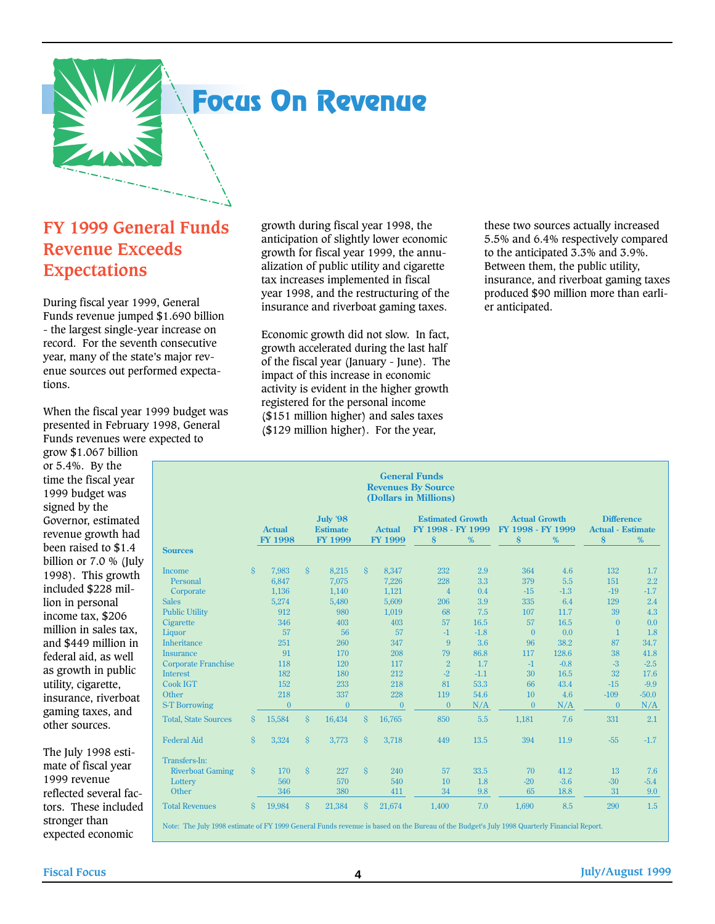

## **Focus On Revenue**

#### **FY 1999 General Funds Revenue Exceeds Expectations**

During fiscal year 1999, General Funds revenue jumped \$1.690 billion - the largest single-year increase on record. For the seventh consecutive year, many of the state's major revenue sources out performed expectations.

When the fiscal year 1999 budget was presented in February 1998, General Funds revenues were expected to

grow \$1.067 billion or 5.4%. By the time the fiscal year 1999 budget was signed by the Governor, estimated revenue growth had been raised to \$1.4 billion or 7.0 % (July 1998). This growth included \$228 million in personal income tax, \$206 million in sales tax, and \$449 million in federal aid, as well as growth in public utility, cigarette, insurance, riverboat gaming taxes, and other sources.

The July 1998 estimate of fiscal year 1999 revenue reflected several factors. These included stronger than expected economic

growth during fiscal year 1998, the anticipation of slightly lower economic growth for fiscal year 1999, the annualization of public utility and cigarette tax increases implemented in fiscal year 1998, and the restructuring of the insurance and riverboat gaming taxes.

Economic growth did not slow. In fact, growth accelerated during the last half of the fiscal year (January - June). The impact of this increase in economic activity is evident in the higher growth registered for the personal income (\$151 million higher) and sales taxes (\$129 million higher). For the year,

these two sources actually increased 5.5% and 6.4% respectively compared to the anticipated 3.3% and 3.9%. Between them, the public utility, insurance, and riverboat gaming taxes produced \$90 million more than earlier anticipated.

| <b>General Funds</b><br><b>Revenues By Source</b><br>(Dollars in Millions) |           |                |                    |                                    |           |                  |                                              |        |                                           |        |                                               |         |
|----------------------------------------------------------------------------|-----------|----------------|--------------------|------------------------------------|-----------|------------------|----------------------------------------------|--------|-------------------------------------------|--------|-----------------------------------------------|---------|
|                                                                            |           | <b>Actual</b>  |                    | <b>July '98</b><br><b>Estimate</b> |           | <b>Actual</b>    | <b>Estimated Growth</b><br>FY 1998 - FY 1999 |        | <b>Actual Growth</b><br>FY 1998 - FY 1999 |        | <b>Difference</b><br><b>Actual - Estimate</b> |         |
| <b>Sources</b>                                                             |           | <b>FY 1998</b> |                    | <b>FY 1999</b>                     |           | FY 1999          | $\dot{\mathbf{s}}$                           | %      | $\dot{\mathbf{s}}$                        | %      | $\dot{\mathbf{s}}$                            | %       |
| Income                                                                     | Ŝ.        | 7.983          | $\hat{S}$          | 8,215                              | Ŝ.        | 8,347            | 232                                          | 2.9    | 364                                       | 4.6    | 132                                           | 1.7     |
| Personal                                                                   |           | 6,847          |                    | 7,075                              |           | 7,226            | 228                                          | 3.3    | 379                                       | 5.5    | 151                                           | 2.2     |
| Corporate                                                                  |           | 1,136          |                    | 1,140                              |           | 1,121            | $\overline{4}$                               | 0.4    | $-15$                                     | $-1.3$ | $-19$                                         | $-1.7$  |
| <b>Sales</b>                                                               |           | 5,274          |                    | 5,480                              |           | 5,609            | 206                                          | 3.9    | 335                                       | 6.4    | 129                                           | 2.4     |
| <b>Public Utility</b>                                                      |           | 912            |                    | 980                                |           | 1,019            | 68                                           | 7.5    | 107                                       | 11.7   | 39                                            | 4.3     |
| Cigarette                                                                  |           | 346            |                    | 403                                |           | 403              | 57                                           | 16.5   | 57                                        | 16.5   | $\Omega$                                      | 0.0     |
| Liquor                                                                     |           | 57             |                    | 56                                 |           | 57               | $-1$                                         | $-1.8$ | $\theta$                                  | 0.0    | $\mathbf{1}$                                  | 1.8     |
| Inheritance                                                                |           | 251            |                    | 260                                |           | 347              | 9                                            | 3.6    | 96                                        | 38.2   | 87                                            | 34.7    |
| <b>Insurance</b>                                                           |           | 91             |                    | 170                                |           | 208              | 79                                           | 86.8   | 117                                       | 128.6  | 38                                            | 41.8    |
| <b>Corporate Franchise</b>                                                 |           | 118            |                    | 120                                |           | 117              | $\overline{2}$                               | 1.7    | $-1$                                      | $-0.8$ | $-3$                                          | $-2.5$  |
| <b>Interest</b>                                                            |           | 182            |                    | 180                                |           | 212              | $-2$                                         | $-1.1$ | 30                                        | 16.5   | 32                                            | 17.6    |
| <b>Cook IGT</b>                                                            |           | 152            |                    | 233                                |           | 218              | 81                                           | 53.3   | 66                                        | 43.4   | $-15$                                         | $-9.9$  |
| Other                                                                      |           | 218            |                    | 337                                |           | 228              | 119                                          | 54.6   | 10                                        | 4.6    | $-109$                                        | $-50.0$ |
| <b>S-T Borrowing</b>                                                       |           | $\theta$       |                    | $\mathbf{0}$                       |           | $\boldsymbol{0}$ | $\Omega$                                     | N/A    | $\theta$                                  | N/A    | $\theta$                                      | N/A     |
| <b>Total, State Sources</b>                                                | Ŝ.        | 15,584         | $\hat{S}$          | 16,434                             | Ŝ.        | 16,765           | 850                                          | 5.5    | 1,181                                     | 7.6    | 331                                           | 2.1     |
| <b>Federal Aid</b>                                                         | $\hat{S}$ | 3,324          | <sup>S</sup>       | 3,773                              | $\hat{S}$ | 3,718            | 449                                          | 13.5   | 394                                       | 11.9   | $-55$                                         | $-1.7$  |
| Transfers-In:                                                              |           |                |                    |                                    |           |                  |                                              |        |                                           |        |                                               |         |
| <b>Riverboat Gaming</b>                                                    | Ŝ.        | 170            | <sup>S</sup>       | 227                                | $\hat{S}$ | 240              | 57                                           | 33.5   | 70                                        | 41.2   | 13                                            | 7.6     |
| Lottery                                                                    |           | 560            |                    | 570                                |           | 540              | 10                                           | 1.8    | $-20$                                     | $-3.6$ | $-30$                                         | $-5.4$  |
| Other                                                                      |           | 346            |                    | 380                                |           | 411              | 34                                           | 9.8    | 65                                        | 18.8   | 31                                            | 9.0     |
| <b>Total Revenues</b>                                                      | Ŝ.        | 19,984         | $\mathbf{\hat{S}}$ | 21,384                             | Ŝ.        | 21,674           | 1,400                                        | 7.0    | 1,690                                     | 8.5    | 290                                           | 1.5     |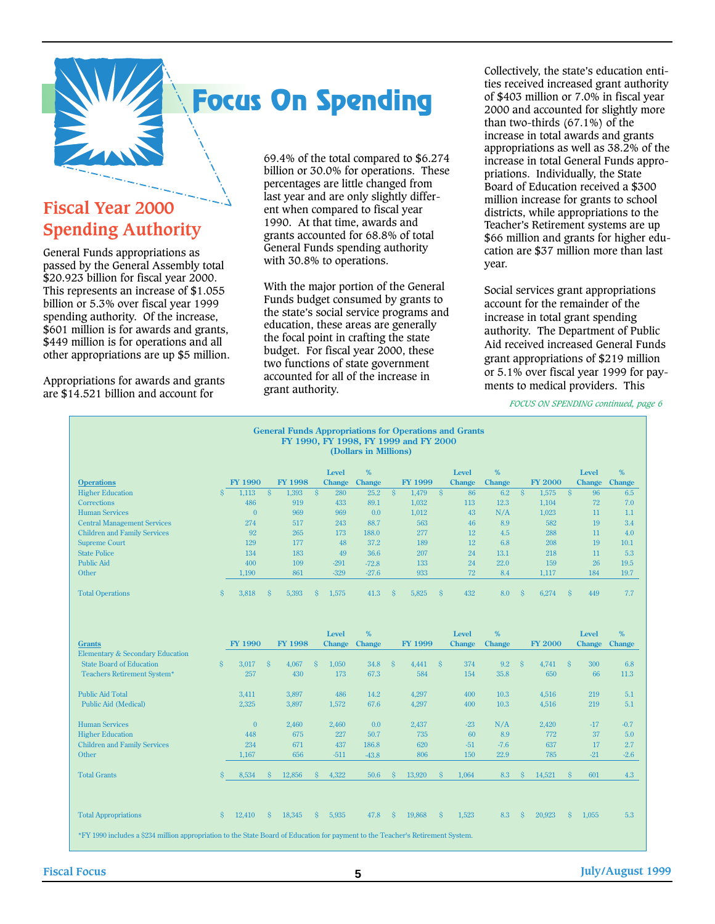

## **Focus On Spending**

### **Fiscal Year 2000 Spending Authority**

General Funds appropriations as passed by the General Assembly total \$20.923 billion for fiscal year 2000. This represents an increase of \$1.055 billion or 5.3% over fiscal year 1999 spending authority. Of the increase, \$601 million is for awards and grants, \$449 million is for operations and all other appropriations are up \$5 million.

Appropriations for awards and grants are \$14.521 billion and account for

69.4% of the total compared to \$6.274 billion or 30.0% for operations. These percentages are little changed from last year and are only slightly different when compared to fiscal year 1990. At that time, awards and grants accounted for 68.8% of total General Funds spending authority with 30.8% to operations.

With the major portion of the General Funds budget consumed by grants to the state's social service programs and education, these areas are generally the focal point in crafting the state budget. For fiscal year 2000, these two functions of state government accounted for all of the increase in grant authority.

Collectively, the state's education entities received increased grant authority of \$403 million or 7.0% in fiscal year 2000 and accounted for slightly more than two-thirds (67.1%) of the increase in total awards and grants appropriations as well as 38.2% of the increase in total General Funds appropriations. Individually, the State Board of Education received a \$300 million increase for grants to school districts, while appropriations to the Teacher's Retirement systems are up \$66 million and grants for higher education are \$37 million more than last year.

Social services grant appropriations account for the remainder of the increase in total grant spending authority. The Department of Public Aid received increased General Funds grant appropriations of \$219 million or 5.1% over fiscal year 1999 for payments to medical providers. This

*FOCUS ON SPENDING continued, page 6*

| <b>General Funds Appropriations for Operations and Grants</b><br>FY 1990, FY 1998, FY 1999 and FY 2000<br>(Dollars in Millions) |                    |                |                    |                |              |               |               |                         |                |              |               |               |                          |                |              |               |               |
|---------------------------------------------------------------------------------------------------------------------------------|--------------------|----------------|--------------------|----------------|--------------|---------------|---------------|-------------------------|----------------|--------------|---------------|---------------|--------------------------|----------------|--------------|---------------|---------------|
|                                                                                                                                 |                    |                |                    |                |              | Level         | $\%$          |                         |                |              | <b>Level</b>  | %             |                          |                |              | <b>Level</b>  | %             |
| <b>Operations</b>                                                                                                               |                    | <b>FY 1990</b> |                    | <b>FY 1998</b> |              | <b>Change</b> | <b>Change</b> |                         | <b>FY 1999</b> |              | <b>Change</b> | <b>Change</b> |                          | <b>FY 2000</b> |              | <b>Change</b> | <b>Change</b> |
| <b>Higher Education</b>                                                                                                         | Ś.                 | 1.113          | $\hat{\mathbf{S}}$ | 1.393          | <sup>S</sup> | 280           | 25.2          | $\overline{\mathbf{s}}$ | 1.479          | <sup>S</sup> | 86            | 6.2           | $\overline{\mathcal{S}}$ | 1.575          | <sup>S</sup> | 96            | 6.5           |
| <b>Corrections</b>                                                                                                              |                    | 486            |                    | 919            |              | 433           | 89.1          |                         | 1,032          |              | 113           | 12.3          |                          | 1.104          |              | 72            | 7.0           |
| <b>Human Services</b>                                                                                                           |                    | $\theta$       |                    | 969            |              | 969           | 0.0           |                         | 1,012          |              | 43            | N/A           |                          | 1,023          |              | 11            | 1.1           |
| <b>Central Management Services</b>                                                                                              |                    | 274            |                    | 517            |              | 243           | 88.7          |                         | 563            |              | 46            | 8.9           |                          | 582            |              | 19            | 3.4           |
| <b>Children and Family Services</b>                                                                                             |                    | 92             |                    | 265            |              | 173           | 188.0         |                         | 277            |              | 12            | 4.5           |                          | 288            |              | 11            | 4.0           |
| <b>Supreme Court</b>                                                                                                            |                    | 129            |                    | 177            |              | 48            | 37.2          |                         | 189            |              | 12            | 6.8           |                          | 208            |              | 19            | 10.1          |
| <b>State Police</b>                                                                                                             |                    | 134            |                    | 183            |              | 49            | 36.6          |                         | 207            |              | 24            | 13.1          |                          | 218            |              | 11            | 5.3           |
| <b>Public Aid</b>                                                                                                               |                    | 400            |                    | 109            |              | $-291$        | $-72.8$       |                         | 133            |              | 24            | 22.0          |                          | 159            |              | 26            | 19.5          |
| Other                                                                                                                           |                    | 1,190          |                    | 861            |              | $-329$        | $-27.6$       |                         | 933            |              | 72            | 8.4           |                          | 1,117          |              | 184           | 19.7          |
| <b>Total Operations</b>                                                                                                         | <sup>S</sup>       | 3,818          | <sup>S</sup>       | 5,393          | <sup>S</sup> | 1,575         | 41.3          | -Ŝ                      | 5.825          | <sup>S</sup> | 432           | 8.0           | <sup>S</sup>             | 6,274          | <sup>S</sup> | 449           | 7.7           |
|                                                                                                                                 |                    |                |                    |                |              | <b>Level</b>  | %             |                         |                |              | <b>Level</b>  | %             |                          |                |              | <b>Level</b>  | %             |
|                                                                                                                                 |                    |                |                    |                |              |               |               |                         |                |              |               |               |                          |                |              |               |               |
| <b>Grants</b>                                                                                                                   |                    | <b>FY 1990</b> |                    | <b>FY 1998</b> |              | <b>Change</b> | <b>Change</b> |                         | FY 1999        |              | <b>Change</b> | <b>Change</b> |                          | <b>FY 2000</b> |              | <b>Change</b> | <b>Change</b> |
| Elementary & Secondary Education<br><b>State Board of Education</b>                                                             |                    |                |                    |                |              |               |               |                         |                | <sup>S</sup> | 374           |               | <sup>S</sup>             |                | <sup>S</sup> | 300           |               |
| Teachers Retirement System*                                                                                                     | $\hat{\mathbf{S}}$ | 3,017<br>257   | <sup>S</sup>       | 4,067<br>430   | <sup>S</sup> | 1,050<br>173  | 34.8<br>67.3  | $\mathbf{\hat{s}}$      | 4,441<br>584   |              | 154           | 9.2<br>35.8   |                          | 4,741<br>650   |              | 66            | 6.8<br>11.3   |
|                                                                                                                                 |                    |                |                    |                |              |               |               |                         |                |              |               |               |                          |                |              |               |               |
| <b>Public Aid Total</b><br><b>Public Aid (Medical)</b>                                                                          |                    | 3,411<br>2,325 |                    | 3,897<br>3,897 |              | 486<br>1,572  | 14.2<br>67.6  |                         | 4,297<br>4,297 |              | 400<br>400    | 10.3<br>10.3  |                          | 4,516<br>4,516 |              | 219<br>219    | 5.1<br>5.1    |
| <b>Human Services</b>                                                                                                           |                    | $\mathbf{0}$   |                    |                |              | 2.460         | 0.0           |                         |                |              | $-23$         |               |                          | 2.420          |              | $-17$         | $-0.7$        |
|                                                                                                                                 |                    | 448            |                    | 2,460<br>675   |              |               | 50.7          |                         | 2,437          |              | 60            | N/A           |                          | 772            |              | 37            | 5.0           |
| <b>Higher Education</b>                                                                                                         |                    | 234            |                    | 671            |              | 227<br>437    | 186.8         |                         | 735<br>620     |              | $-51$         | 8.9<br>$-7.6$ |                          | 637            |              | 17            | 2.7           |
| <b>Children and Family Services</b><br>Other                                                                                    |                    | 1,167          |                    | 656            |              | $-511$        | $-43.8$       |                         | 806            |              | 150           | 22.9          |                          | 785            |              | $-21$         | $-2.6$        |
| <b>Total Grants</b>                                                                                                             | Ŝ.                 | 8,534          | Ŝ.                 | 12,856         | <sup>S</sup> | 4,322         | 50.6          | <sup>S</sup>            | 13,920         | <sup>S</sup> | 1.064         | 8.3           | Ŝ.                       | 14,521         | <sup>S</sup> | 601           | 4.3           |
| <b>Total Appropriations</b>                                                                                                     | <sup>S</sup>       | 12,410         | $\hat{\mathbf{S}}$ | 18,345         | <sup>S</sup> | 5,935         | 47.8          | $\hat{\mathbf{s}}$      | 19,868         | <sup>S</sup> | 1,523         | 8.3           | Ś                        | 20,923         | <sup>S</sup> | 1,055         | 5.3           |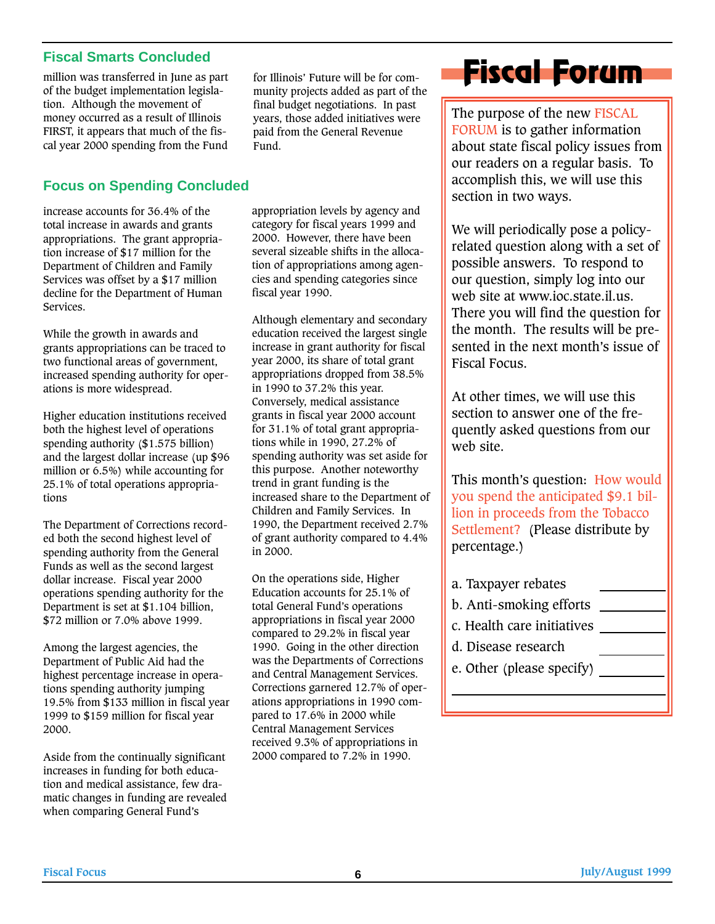#### **Fiscal Smarts Concluded**

million was transferred in June as part of the budget implementation legislation. Although the movement of money occurred as a result of Illinois FIRST, it appears that much of the fiscal year 2000 spending from the Fund

#### **Focus on Spending Concluded**

increase accounts for 36.4% of the total increase in awards and grants appropriations. The grant appropriation increase of \$17 million for the Department of Children and Family Services was offset by a \$17 million decline for the Department of Human Services.

While the growth in awards and grants appropriations can be traced to two functional areas of government, increased spending authority for operations is more widespread.

Higher education institutions received both the highest level of operations spending authority (\$1.575 billion) and the largest dollar increase (up \$96 million or 6.5%) while accounting for 25.1% of total operations appropriations

The Department of Corrections recorded both the second highest level of spending authority from the General Funds as well as the second largest dollar increase. Fiscal year 2000 operations spending authority for the Department is set at \$1.104 billion, \$72 million or 7.0% above 1999.

Among the largest agencies, the Department of Public Aid had the highest percentage increase in operations spending authority jumping 19.5% from \$133 million in fiscal year 1999 to \$159 million for fiscal year 2000.

Aside from the continually significant increases in funding for both education and medical assistance, few dramatic changes in funding are revealed when comparing General Fund's

for Illinois' Future will be for community projects added as part of the final budget negotiations. In past years, those added initiatives were paid from the General Revenue Fund.

appropriation levels by agency and category for fiscal years 1999 and 2000. However, there have been several sizeable shifts in the allocation of appropriations among agencies and spending categories since fiscal year 1990.

Although elementary and secondary education received the largest single increase in grant authority for fiscal year 2000, its share of total grant appropriations dropped from 38.5% in 1990 to 37.2% this year. Conversely, medical assistance grants in fiscal year 2000 account for 31.1% of total grant appropriations while in 1990, 27.2% of spending authority was set aside for this purpose. Another noteworthy trend in grant funding is the increased share to the Department of Children and Family Services. In 1990, the Department received 2.7% of grant authority compared to 4.4% in 2000.

On the operations side, Higher Education accounts for 25.1% of total General Fund's operations appropriations in fiscal year 2000 compared to 29.2% in fiscal year 1990. Going in the other direction was the Departments of Corrections and Central Management Services. Corrections garnered 12.7% of operations appropriations in 1990 compared to 17.6% in 2000 while Central Management Services received 9.3% of appropriations in 2000 compared to 7.2% in 1990.

# **Fiscal Forum**

The purpose of the new FISCAL FORUM is to gather information about state fiscal policy issues from our readers on a regular basis. To accomplish this, we will use this section in two ways.

We will periodically pose a policyrelated question along with a set of possible answers. To respond to our question, simply log into our web site at www.ioc.state.il.us. There you will find the question for the month. The results will be presented in the next month's issue of Fiscal Focus.

At other times, we will use this section to answer one of the frequently asked questions from our web site.

This month's question: How would you spend the anticipated \$9.1 billion in proceeds from the Tobacco Settlement? (Please distribute by percentage.)

- a. Taxpayer rebates
- b. Anti-smoking efforts
- c. Health care initiatives
- d. Disease research
- e. Other (please specify)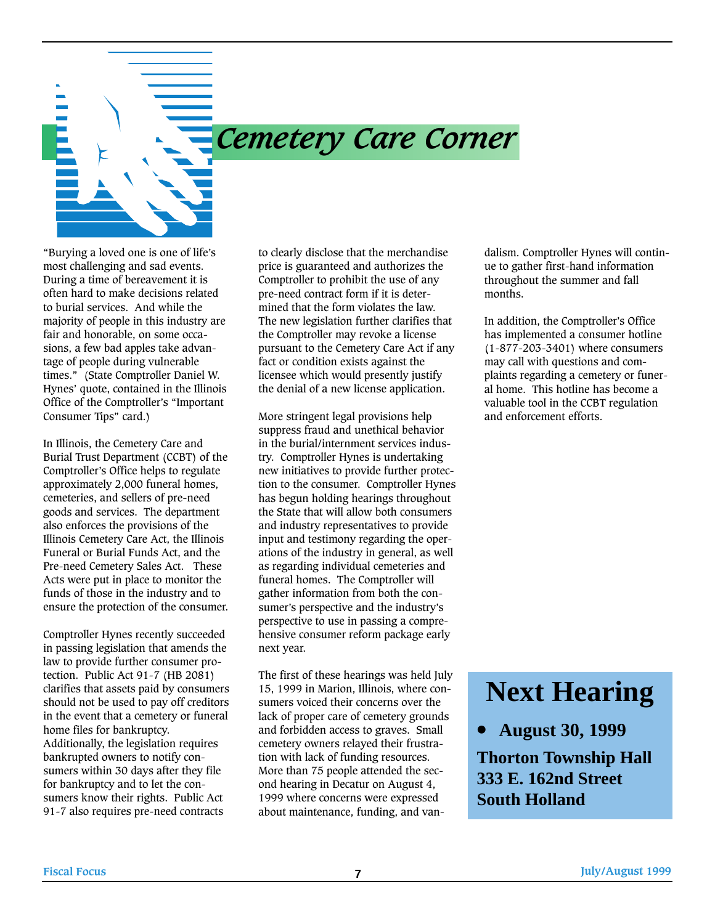

## *Cemetery Care Corner*

"Burying a loved one is one of life's most challenging and sad events. During a time of bereavement it is often hard to make decisions related to burial services. And while the majority of people in this industry are fair and honorable, on some occasions, a few bad apples take advantage of people during vulnerable times." (State Comptroller Daniel W. Hynes' quote, contained in the Illinois Office of the Comptroller's "Important Consumer Tips" card.)

In Illinois, the Cemetery Care and Burial Trust Department (CCBT) of the Comptroller's Office helps to regulate approximately 2,000 funeral homes, cemeteries, and sellers of pre-need goods and services. The department also enforces the provisions of the Illinois Cemetery Care Act, the Illinois Funeral or Burial Funds Act, and the Pre-need Cemetery Sales Act. These Acts were put in place to monitor the funds of those in the industry and to ensure the protection of the consumer.

Comptroller Hynes recently succeeded in passing legislation that amends the law to provide further consumer protection. Public Act 91-7 (HB 2081) clarifies that assets paid by consumers should not be used to pay off creditors in the event that a cemetery or funeral home files for bankruptcy. Additionally, the legislation requires bankrupted owners to notify consumers within 30 days after they file for bankruptcy and to let the consumers know their rights. Public Act 91-7 also requires pre-need contracts

to clearly disclose that the merchandise price is guaranteed and authorizes the Comptroller to prohibit the use of any pre-need contract form if it is determined that the form violates the law. The new legislation further clarifies that the Comptroller may revoke a license pursuant to the Cemetery Care Act if any fact or condition exists against the licensee which would presently justify the denial of a new license application.

More stringent legal provisions help suppress fraud and unethical behavior in the burial/internment services industry. Comptroller Hynes is undertaking new initiatives to provide further protection to the consumer. Comptroller Hynes has begun holding hearings throughout the State that will allow both consumers and industry representatives to provide input and testimony regarding the operations of the industry in general, as well as regarding individual cemeteries and funeral homes. The Comptroller will gather information from both the consumer's perspective and the industry's perspective to use in passing a comprehensive consumer reform package early next year.

The first of these hearings was held July 15, 1999 in Marion, Illinois, where consumers voiced their concerns over the lack of proper care of cemetery grounds and forbidden access to graves. Small cemetery owners relayed their frustration with lack of funding resources. More than 75 people attended the second hearing in Decatur on August 4, 1999 where concerns were expressed about maintenance, funding, and vandalism. Comptroller Hynes will continue to gather first-hand information throughout the summer and fall months.

In addition, the Comptroller's Office has implemented a consumer hotline (1-877-203-3401) where consumers may call with questions and complaints regarding a cemetery or funeral home. This hotline has become a valuable tool in the CCBT regulation and enforcement efforts.

## **Next Hearing**

**• August 30, 1999**

**Thorton Township Hall 333 E. 162nd Street South Holland**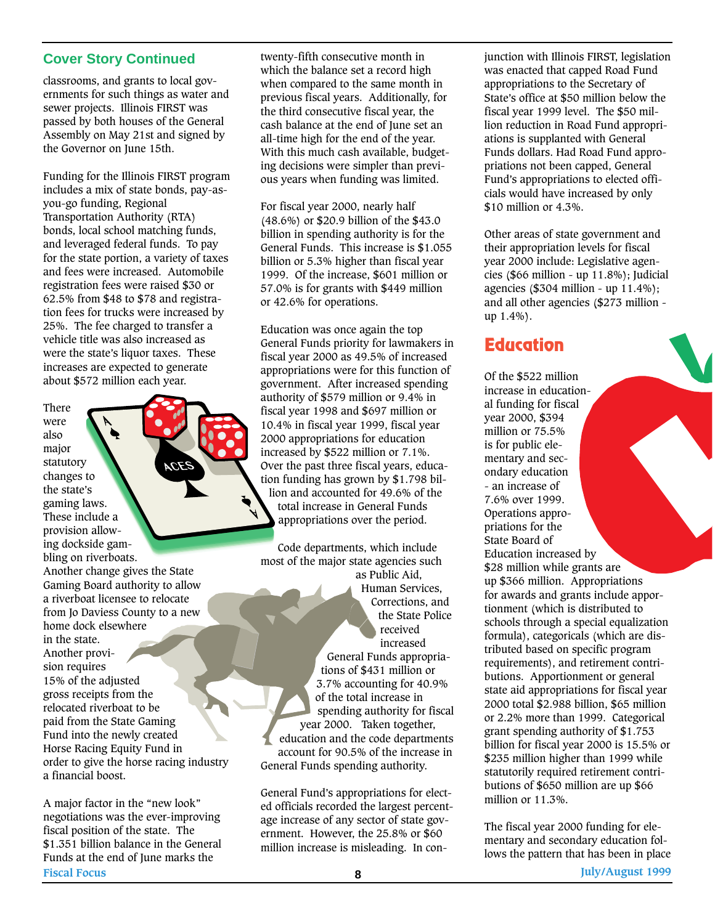#### **Cover Story Continued**

classrooms, and grants to local governments for such things as water and sewer projects. Illinois FIRST was passed by both houses of the General Assembly on May 21st and signed by the Governor on June 15th.

Funding for the Illinois FIRST program includes a mix of state bonds, pay-asyou-go funding, Regional Transportation Authority (RTA) bonds, local school matching funds, and leveraged federal funds. To pay for the state portion, a variety of taxes and fees were increased. Automobile registration fees were raised \$30 or 62.5% from \$48 to \$78 and registration fees for trucks were increased by 25%. The fee charged to transfer a vehicle title was also increased as were the state's liquor taxes. These increases are expected to generate about \$572 million each year.

There were

also major statutory changes to the state's gaming laws. These include a provision allowing dockside gambling on riverboats. Another change gives the State Gaming Board authority to allow a riverboat licensee to relocate from Jo Daviess County to a new home dock elsewhere in the state. Another provision requires 15% of the adjusted gross receipts from the relocated riverboat to be paid from the State Gaming Fund into the newly created Horse Racing Equity Fund in order to give the horse racing industry a financial boost.

A major factor in the "new look" negotiations was the ever-improving fiscal position of the state. The \$1.351 billion balance in the General Funds at the end of June marks the **Fiscal Focus July/August 1999 8**

twenty-fifth consecutive month in which the balance set a record high when compared to the same month in previous fiscal years. Additionally, for the third consecutive fiscal year, the cash balance at the end of June set an all-time high for the end of the year. With this much cash available, budgeting decisions were simpler than previous years when funding was limited.

For fiscal year 2000, nearly half (48.6%) or \$20.9 billion of the \$43.0 billion in spending authority is for the General Funds. This increase is \$1.055 billion or 5.3% higher than fiscal year 1999. Of the increase, \$601 million or 57.0% is for grants with \$449 million or 42.6% for operations.

Education was once again the top General Funds priority for lawmakers in fiscal year 2000 as 49.5% of increased appropriations were for this function of government. After increased spending authority of \$579 million or 9.4% in fiscal year 1998 and \$697 million or 10.4% in fiscal year 1999, fiscal year 2000 appropriations for education increased by \$522 million or 7.1%. Over the past three fiscal years, education funding has grown by \$1.798 billion and accounted for 49.6% of the total increase in General Funds appropriations over the period.

Code departments, which include most of the major state agencies such as Public Aid, Human Services, Corrections, and the State Police received increased General Funds appropriations of \$431 million or 3.7% accounting for 40.9% of the total increase in spending authority for fiscal year 2000. Taken together, education and the code departments account for 90.5% of the increase in General Funds spending authority.

General Fund's appropriations for elected officials recorded the largest percentage increase of any sector of state government. However, the 25.8% or \$60 million increase is misleading. In conjunction with Illinois FIRST, legislation was enacted that capped Road Fund appropriations to the Secretary of State's office at \$50 million below the fiscal year 1999 level. The \$50 million reduction in Road Fund appropriations is supplanted with General Funds dollars. Had Road Fund appropriations not been capped, General Fund's appropriations to elected officials would have increased by only \$10 million or 4.3%.

Other areas of state government and their appropriation levels for fiscal year 2000 include: Legislative agencies (\$66 million - up 11.8%); Judicial agencies (\$304 million - up 11.4%); and all other agencies (\$273 million up 1.4%).

#### **Education**

Of the \$522 million increase in educational funding for fiscal year 2000, \$394 million or 75.5% is for public elementary and secondary education - an increase of 7.6% over 1999. Operations appropriations for the State Board of Education increased by \$28 million while grants are up \$366 million. Appropriations for awards and grants include apportionment (which is distributed to schools through a special equalization formula), categoricals (which are distributed based on specific program requirements), and retirement contributions. Apportionment or general state aid appropriations for fiscal year 2000 total \$2.988 billion, \$65 million or 2.2% more than 1999. Categorical grant spending authority of \$1.753 billion for fiscal year 2000 is 15.5% or \$235 million higher than 1999 while statutorily required retirement contributions of \$650 million are up \$66 million or 11.3%.

The fiscal year 2000 funding for elementary and secondary education follows the pattern that has been in place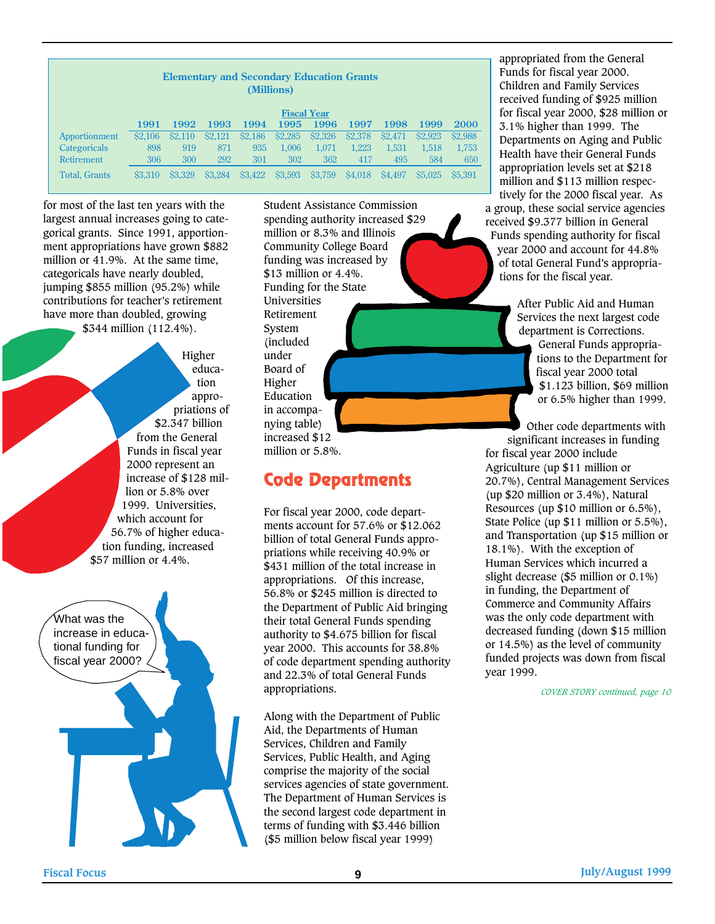| <b>Elementary and Secondary Education Grants</b><br>(Millions) |         |               |         |         |                    |         |               |                     |                    |         |  |  |  |
|----------------------------------------------------------------|---------|---------------|---------|---------|--------------------|---------|---------------|---------------------|--------------------|---------|--|--|--|
|                                                                |         |               |         |         | <b>Fiscal Year</b> |         |               |                     |                    |         |  |  |  |
|                                                                | 1991    | 1992          | 1993    | 1994    | 1995               | 1996    | 1997          | 1998                | 1999               | 2000    |  |  |  |
| Apportionment                                                  | \$2.106 | <b>S2.110</b> | \$2,121 | \$2,186 | \$2,285            | \$2,326 | \$2,378       | S <sub>2</sub> .471 | S <sub>2.923</sub> | \$2,988 |  |  |  |
| Categoricals                                                   | 898     | 919           | 871     | 935     | 1.006              | 1,071   | 1,223         | 1,531               | 1,518              | 1,753   |  |  |  |
| <b>Retirement</b>                                              | 306     | 300           | 292     | 301     | 302                | 362     | 417           | 495                 | 584                | 650     |  |  |  |
| <b>Total, Grants</b>                                           | \$3,310 | \$3,329       | \$3.284 | \$3,422 | \$3,593            | \$3,759 | <b>S4,018</b> | S <sub>4.497</sub>  | \$5,025            | \$5,391 |  |  |  |

for most of the last ten years with the largest annual increases going to categorical grants. Since 1991, apportionment appropriations have grown \$882 million or 41.9%. At the same time, categoricals have nearly doubled, jumping \$855 million (95.2%) while contributions for teacher's retirement have more than doubled, growing \$344 million (112.4%).

> Higher education appropriations of \$2.347 billion from the General Funds in fiscal year 2000 represent an increase of \$128 million or 5.8% over 1999. Universities, which account for 56.7% of higher education funding, increased \$57 million or 4.4%.

What was the increase in educational funding for fiscal year 2000?

Student Assistance Commission spending authority increased \$29 million or 8.3% and Illinois Community College Board funding was increased by \$13 million or 4.4%. Funding for the State Universities Retirement System (included under Board of Higher Education in accompanying table) increased \$12 million or 5.8%.

### **Code Departments**

For fiscal year 2000, code departments account for 57.6% or \$12.062 billion of total General Funds appropriations while receiving 40.9% or \$431 million of the total increase in appropriations. Of this increase, 56.8% or \$245 million is directed to the Department of Public Aid bringing their total General Funds spending authority to \$4.675 billion for fiscal year 2000. This accounts for 38.8% of code department spending authority and 22.3% of total General Funds appropriations.

Along with the Department of Public Aid, the Departments of Human Services, Children and Family Services, Public Health, and Aging comprise the majority of the social services agencies of state government. The Department of Human Services is the second largest code department in terms of funding with \$3.446 billion (\$5 million below fiscal year 1999)

appropriated from the General Funds for fiscal year 2000. Children and Family Services received funding of \$925 million for fiscal year 2000, \$28 million or 3.1% higher than 1999. The Departments on Aging and Public Health have their General Funds appropriation levels set at \$218 million and \$113 million respectively for the 2000 fiscal year. As

a group, these social service agencies received \$9.377 billion in General Funds spending authority for fiscal year 2000 and account for 44.8% of total General Fund's appropriations for the fiscal year.

> After Public Aid and Human Services the next largest code department is Corrections. General Funds appropriations to the Department for fiscal year 2000 total \$1.123 billion, \$69 million or 6.5% higher than 1999.

Other code departments with significant increases in funding for fiscal year 2000 include Agriculture (up \$11 million or 20.7%), Central Management Services (up \$20 million or 3.4%), Natural Resources (up \$10 million or 6.5%), State Police (up \$11 million or 5.5%), and Transportation (up \$15 million or 18.1%). With the exception of Human Services which incurred a slight decrease (\$5 million or 0.1%) in funding, the Department of Commerce and Community Affairs was the only code department with decreased funding (down \$15 million or 14.5%) as the level of community funded projects was down from fiscal year 1999.

*COVER STORY continued, page 10*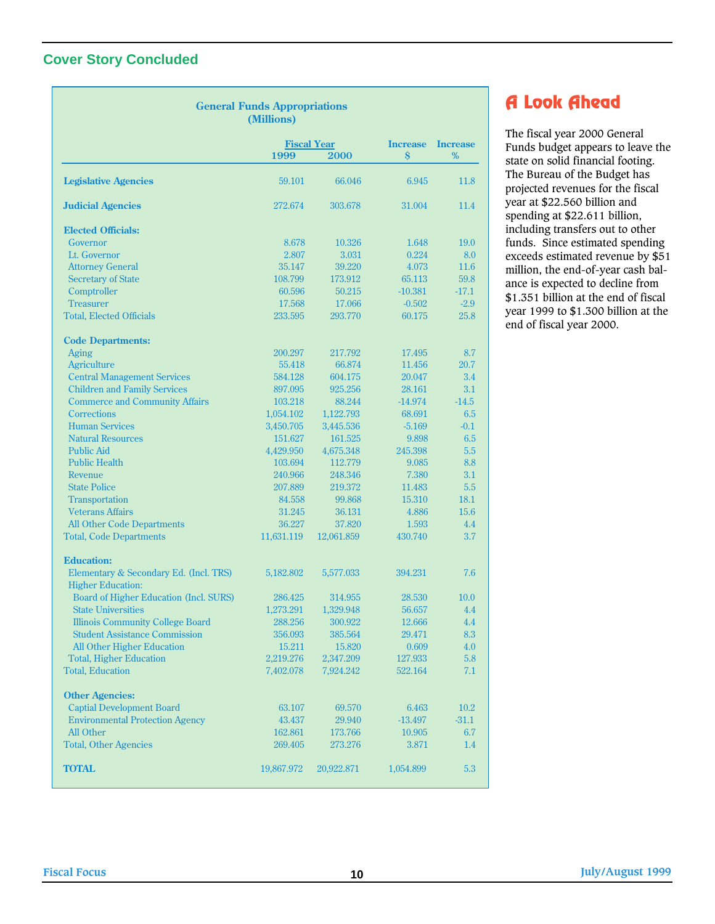#### **Cover Story Concluded**

|                                                                    | <b>General Funds Appropriations</b><br>(Millions) |            |                                       |                         |
|--------------------------------------------------------------------|---------------------------------------------------|------------|---------------------------------------|-------------------------|
|                                                                    | <b>Fiscal Year</b><br>1999                        | 2000       | <b>Increase</b><br>$\dot{\mathbf{S}}$ | <b>Increase</b><br>$\%$ |
| <b>Legislative Agencies</b>                                        | 59.101                                            | 66.046     | 6.945                                 | 11.8                    |
| <b>Judicial Agencies</b>                                           | 272.674                                           | 303.678    | 31.004                                | 11.4                    |
| <b>Elected Officials:</b>                                          |                                                   |            |                                       |                         |
| Governor                                                           | 8.678                                             | 10.326     | 1.648                                 | 19.0                    |
| Lt. Governor                                                       | 2.807                                             | 3.031      | 0.224                                 | 8.0                     |
| <b>Attorney General</b>                                            | 35.147                                            | 39.220     | 4.073                                 | 11.6                    |
| <b>Secretary of State</b>                                          | 108.799                                           | 173.912    | 65.113                                | 59.8                    |
| Comptroller                                                        | 60.596                                            | 50.215     | $-10.381$                             | $-17.1$                 |
| <b>Treasurer</b>                                                   | 17.568                                            | 17.066     | $-0.502$                              | $-2.9$                  |
| <b>Total, Elected Officials</b>                                    | 233.595                                           | 293.770    | 60.175                                | 25.8                    |
| <b>Code Departments:</b>                                           |                                                   |            |                                       |                         |
| <b>Aging</b>                                                       | 200.297                                           | 217.792    | 17.495                                | 8.7                     |
| Agriculture                                                        | 55.418                                            | 66.874     | 11.456                                | 20.7                    |
| <b>Central Management Services</b>                                 | 584.128                                           | 604.175    | 20.047                                | 3.4                     |
| <b>Children and Family Services</b>                                | 897.095                                           | 925.256    | 28.161                                | 3.1                     |
| <b>Commerce and Community Affairs</b>                              | 103.218                                           | 88.244     | $-14.974$                             | $-14.5$                 |
| Corrections                                                        | 1,054.102                                         | 1,122.793  | 68.691                                | 6.5                     |
| <b>Human Services</b>                                              | 3,450.705                                         | 3,445.536  | $-5.169$                              | $-0.1$                  |
| <b>Natural Resources</b>                                           | 151.627                                           | 161.525    | 9.898                                 | 6.5                     |
| <b>Public Aid</b>                                                  | 4,429.950                                         | 4,675.348  | 245.398                               | 5.5                     |
| <b>Public Health</b>                                               | 103.694                                           | 112.779    | 9.085                                 | 8.8                     |
| Revenue                                                            | 240.966                                           | 248.346    | 7.380                                 | 3.1                     |
| <b>State Police</b>                                                | 207.889                                           | 219.372    | 11.483                                | 5.5                     |
| Transportation                                                     | 84.558                                            | 99.868     | 15.310                                | 18.1                    |
| <b>Veterans Affairs</b>                                            | 31.245                                            | 36.131     | 4.886                                 | 15.6                    |
| <b>All Other Code Departments</b>                                  | 36.227                                            | 37.820     | 1.593                                 | 4.4                     |
| <b>Total, Code Departments</b>                                     | 11,631.119                                        | 12,061.859 | 430.740                               | 3.7                     |
| <b>Education:</b>                                                  |                                                   |            |                                       |                         |
| Elementary & Secondary Ed. (Incl. TRS)<br><b>Higher Education:</b> | 5,182.802                                         | 5,577.033  | 394.231                               | 7.6                     |
| Board of Higher Education (Incl. SURS)                             | 286.425                                           | 314.955    | 28.530                                | 10.0                    |
| <b>State Universities</b>                                          | 1,273.291                                         | 1,329.948  | 56.657                                | 4.4                     |
| <b>Illinois Community College Board</b>                            | 288.256                                           | 300.922    | 12.666                                | 4.4                     |
| <b>Student Assistance Commission</b>                               | 356.093                                           | 385.564    | 29.471                                | 8.3                     |
| All Other Higher Education                                         | 15.211                                            | 15.820     | 0.609                                 | 4.0                     |
| <b>Total, Higher Education</b>                                     | 2,219.276                                         | 2,347.209  | 127.933                               | 5.8                     |
| <b>Total, Education</b>                                            | 7,402.078                                         | 7,924.242  | 522.164                               | 7.1                     |
| <b>Other Agencies:</b>                                             |                                                   |            |                                       |                         |
| <b>Captial Development Board</b>                                   | 63.107                                            | 69.570     | 6.463                                 | 10.2                    |
| <b>Environmental Protection Agency</b>                             | 43.437                                            | 29.940     | $-13.497$                             | $-31.1$                 |
| All Other                                                          | 162.861                                           | 173.766    | 10.905                                | 6.7                     |
| <b>Total, Other Agencies</b>                                       | 269.405                                           | 273.276    | 3.871                                 | $1.4\,$                 |
| <b>TOTAL</b>                                                       | 19,867.972                                        | 20,922.871 | 1,054.899                             | 5.3                     |

### **A Look Ahead**

The fiscal year 2000 General Funds budget appears to leave the state on solid financial footing. The Bureau of the Budget has projected revenues for the fiscal year at \$22.560 billion and spending at \$22.611 billion, including transfers out to other funds. Since estimated spending exceeds estimated revenue by \$51 million, the end-of-year cash balance is expected to decline from \$1.351 billion at the end of fiscal year 1999 to \$1.300 billion at the end of fiscal year 2000.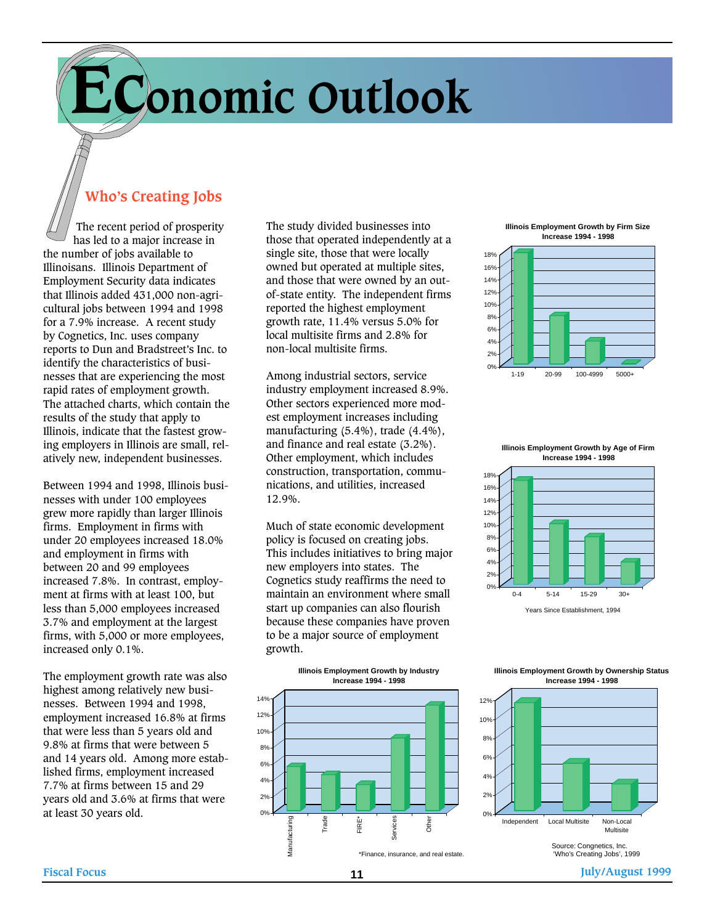# **Economic Outlook**

### **Who's Creating Jobs**

The recent period of prosperity has led to a major increase in the number of jobs available to Illinoisans. Illinois Department of Employment Security data indicates that Illinois added 431,000 non-agricultural jobs between 1994 and 1998 for a 7.9% increase. A recent study by Cognetics, Inc. uses company reports to Dun and Bradstreet's Inc. to identify the characteristics of businesses that are experiencing the most rapid rates of employment growth. The attached charts, which contain the results of the study that apply to Illinois, indicate that the fastest growing employers in Illinois are small, relatively new, independent businesses.

Between 1994 and 1998, Illinois businesses with under 100 employees grew more rapidly than larger Illinois firms. Employment in firms with under 20 employees increased 18.0% and employment in firms with between 20 and 99 employees increased 7.8%. In contrast, employment at firms with at least 100, but less than 5,000 employees increased 3.7% and employment at the largest firms, with 5,000 or more employees, increased only 0.1%.

The employment growth rate was also highest among relatively new businesses. Between 1994 and 1998, employment increased 16.8% at firms that were less than 5 years old and 9.8% at firms that were between 5 and 14 years old. Among more established firms, employment increased 7.7% at firms between 15 and 29 years old and 3.6% at firms that were at least 30 years old.

The study divided businesses into those that operated independently at a single site, those that were locally owned but operated at multiple sites, and those that were owned by an outof-state entity. The independent firms reported the highest employment growth rate, 11.4% versus 5.0% for local multisite firms and 2.8% for non-local multisite firms.

Among industrial sectors, service industry employment increased 8.9%. Other sectors experienced more modest employment increases including manufacturing (5.4%), trade (4.4%), and finance and real estate (3.2%). Other employment, which includes construction, transportation, communications, and utilities, increased 12.9%.

Much of state economic development policy is focused on creating jobs. This includes initiatives to bring major new employers into states. The Cognetics study reaffirms the need to maintain an environment where small start up companies can also flourish because these companies have proven to be a major source of employment growth.



**Illinois Employment Growth by Firm Size Increase 1994 - 1998**





**Illinois Employment Growth by Ownership Status Increase 1994 - 1998**

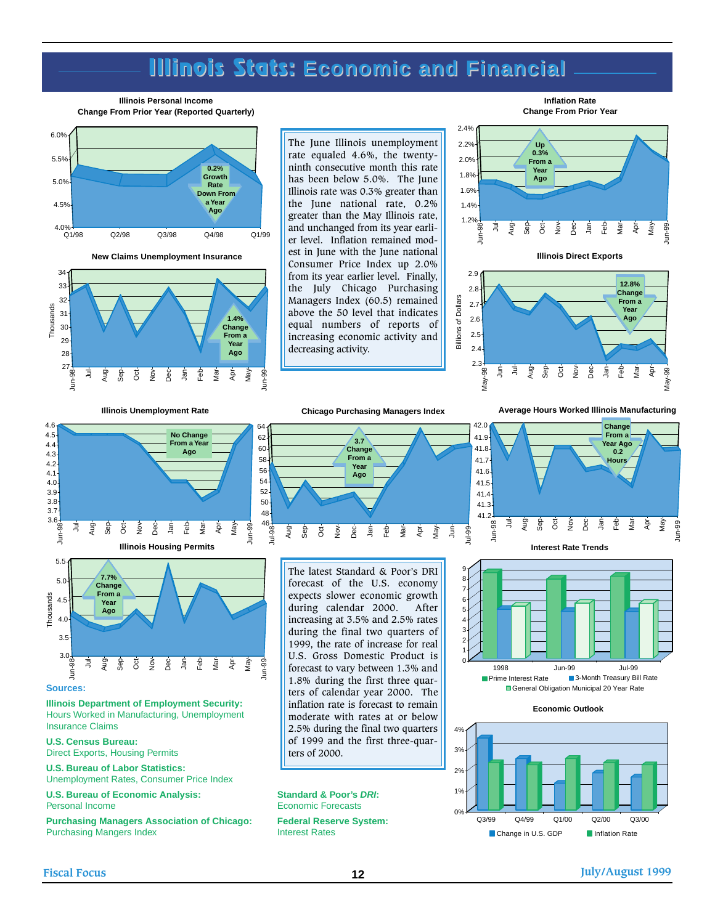## **Illinois Stats: Illinois Stats: Economic and Financial Economic and Financial**

#### **Illinois Personal Income Change From Prior Year (Reported Quarterly)**



**New Claims Unemployment Insurance**



The June Illinois unemployment rate equaled 4.6%, the twentyninth consecutive month this rate has been below 5.0%. The June Illinois rate was 0.3% greater than the June national rate, 0.2% greater than the May Illinois rate, and unchanged from its year earlier level. Inflation remained modest in June with the June national Consumer Price Index up 2.0% from its year earlier level. Finally, the July Chicago Purchasing Managers Index (60.5) remained above the 50 level that indicates equal numbers of reports of increasing economic activity and decreasing activity.





2.9 **12.8%**  $2.8$ **Change** Billions of Dollars **Billions of Dollars From a** 2.7 **Year** 2.6 **Ago** 2.5 2.4 2.3 May-98 Sep õ  $\check{\mathsf{B}}$ Dec g 운<br>모 Mar Apr E ョ Aug May-99

**Illinois Unemployment Rate**

**No Change From a Year Ago**

6.



The latest Standard & Poor's DRI forecast of the U.S. economy expects slower economic growth during calendar 2000. After increasing at 3.5% and 2.5% rates during the final two quarters of 1999, the rate of increase for real U.S. Gross Domestic Product is forecast to vary between 1.3% and 1.8% during the first three quarters of calendar year 2000. The inflation rate is forecast to remain moderate with rates at or below 2.5% during the final two quarters of 1999 and the first three-quarters of 2000.

**Average Hours Worked Illinois Manufacturing**





**Economic Outlook**



4.0 3.9 52 3.8 3.7 3.6 Jun-98 Aug Sep Oct May Jun-99 Ę Jan ے<br>آ Mar ş Dec Apr **Illinois Housing Permits** 5.5 **7.7%** 5.0 **Change From a** Thousands Thousands  $4.5$ **Year Ago**  $4.0$ 3.5

#### Jun-98 **Sources:**

3.0

4.1 4.2 4.3 4.4 4.5 4.6

> Ę Aug Sep ទី  $\check{\mathsf{B}}$ Dec a Feb Mar Apr  $\tilde{a}$ Jun-99

**Illinois Department of Employment Security:** Hours Worked in Manufacturing, Unemployment Insurance Claims

**U.S. Census Bureau:** Direct Exports, Housing Permits

**U.S. Bureau of Labor Statistics:** Unemployment Rates, Consumer Price Index

**U.S. Bureau of Economic Analysis: Standard & Poor's DRI: Personal Income Economic Forecasts** 

**Purchasing Managers Association of Chicago: Federal Reserve System:** Purchasing Mangers Index **Interest Rates**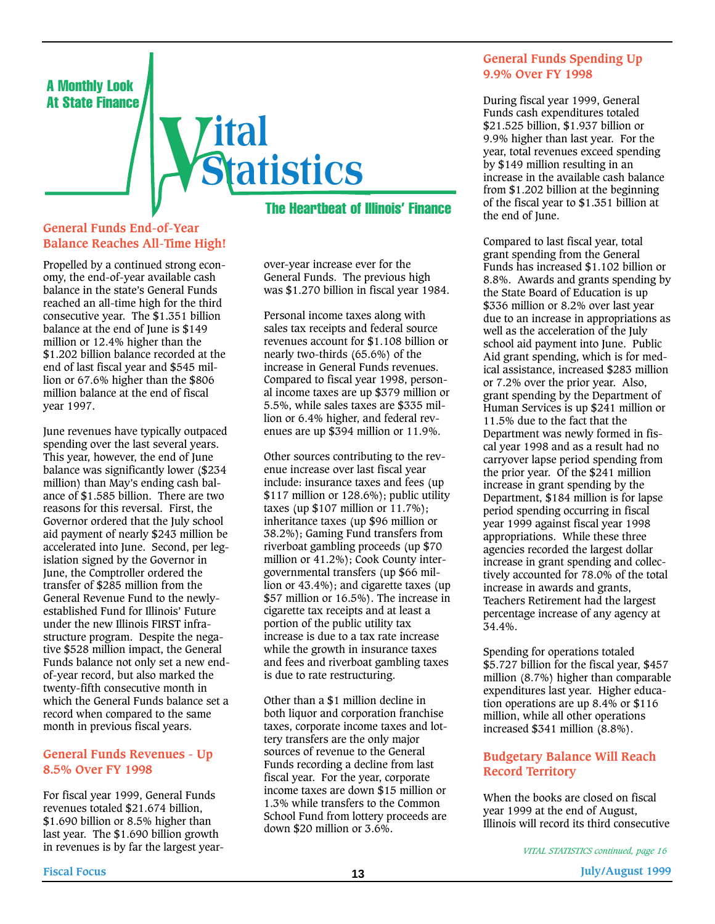

#### **General Funds End-of-Year Balance Reaches All-Time High!**

Propelled by a continued strong economy, the end-of-year available cash balance in the state's General Funds reached an all-time high for the third consecutive year. The \$1.351 billion balance at the end of June is \$149 million or 12.4% higher than the \$1.202 billion balance recorded at the end of last fiscal year and \$545 million or 67.6% higher than the \$806 million balance at the end of fiscal year 1997.

June revenues have typically outpaced spending over the last several years. This year, however, the end of June balance was significantly lower (\$234 million) than May's ending cash balance of \$1.585 billion. There are two reasons for this reversal. First, the Governor ordered that the July school aid payment of nearly \$243 million be accelerated into June. Second, per legislation signed by the Governor in June, the Comptroller ordered the transfer of \$285 million from the General Revenue Fund to the newlyestablished Fund for Illinois' Future under the new Illinois FIRST infrastructure program. Despite the negative \$528 million impact, the General Funds balance not only set a new endof-year record, but also marked the twenty-fifth consecutive month in which the General Funds balance set a record when compared to the same month in previous fiscal years.

#### **General Funds Revenues - Up 8.5% Over FY 1998**

For fiscal year 1999, General Funds revenues totaled \$21.674 billion, \$1.690 billion or 8.5% higher than last year. The \$1.690 billion growth in revenues is by far the largest yearThe Heartbeat of Illinois' Finance

over-year increase ever for the General Funds. The previous high was \$1.270 billion in fiscal year 1984.

Personal income taxes along with sales tax receipts and federal source revenues account for \$1.108 billion or nearly two-thirds (65.6%) of the increase in General Funds revenues. Compared to fiscal year 1998, personal income taxes are up \$379 million or 5.5%, while sales taxes are \$335 million or 6.4% higher, and federal revenues are up \$394 million or 11.9%.

Other sources contributing to the revenue increase over last fiscal year include: insurance taxes and fees (up \$117 million or 128.6%); public utility taxes (up  $$107$  million or  $11.7\%$ ); inheritance taxes (up \$96 million or 38.2%); Gaming Fund transfers from riverboat gambling proceeds (up \$70 million or 41.2%); Cook County intergovernmental transfers (up \$66 million or 43.4%); and cigarette taxes (up \$57 million or 16.5%). The increase in cigarette tax receipts and at least a portion of the public utility tax increase is due to a tax rate increase while the growth in insurance taxes and fees and riverboat gambling taxes is due to rate restructuring.

Other than a \$1 million decline in both liquor and corporation franchise taxes, corporate income taxes and lottery transfers are the only major sources of revenue to the General Funds recording a decline from last fiscal year. For the year, corporate income taxes are down \$15 million or 1.3% while transfers to the Common School Fund from lottery proceeds are down \$20 million or 3.6%.

#### **General Funds Spending Up 9.9% Over FY 1998**

During fiscal year 1999, General Funds cash expenditures totaled \$21.525 billion, \$1.937 billion or 9.9% higher than last year. For the year, total revenues exceed spending by \$149 million resulting in an increase in the available cash balance from \$1.202 billion at the beginning of the fiscal year to \$1.351 billion at the end of June.

Compared to last fiscal year, total grant spending from the General Funds has increased \$1.102 billion or 8.8%. Awards and grants spending by the State Board of Education is up \$336 million or 8.2% over last year due to an increase in appropriations as well as the acceleration of the July school aid payment into June. Public Aid grant spending, which is for medical assistance, increased \$283 million or 7.2% over the prior year. Also, grant spending by the Department of Human Services is up \$241 million or 11.5% due to the fact that the Department was newly formed in fiscal year 1998 and as a result had no carryover lapse period spending from the prior year. Of the \$241 million increase in grant spending by the Department, \$184 million is for lapse period spending occurring in fiscal year 1999 against fiscal year 1998 appropriations. While these three agencies recorded the largest dollar increase in grant spending and collectively accounted for 78.0% of the total increase in awards and grants, Teachers Retirement had the largest percentage increase of any agency at 34.4%.

Spending for operations totaled \$5.727 billion for the fiscal year, \$457 million (8.7%) higher than comparable expenditures last year. Higher education operations are up 8.4% or \$116 million, while all other operations increased \$341 million (8.8%).

#### **Budgetary Balance Will Reach Record Territory**

When the books are closed on fiscal year 1999 at the end of August, Illinois will record its third consecutive

*VITAL STATISTICS continued, page 16*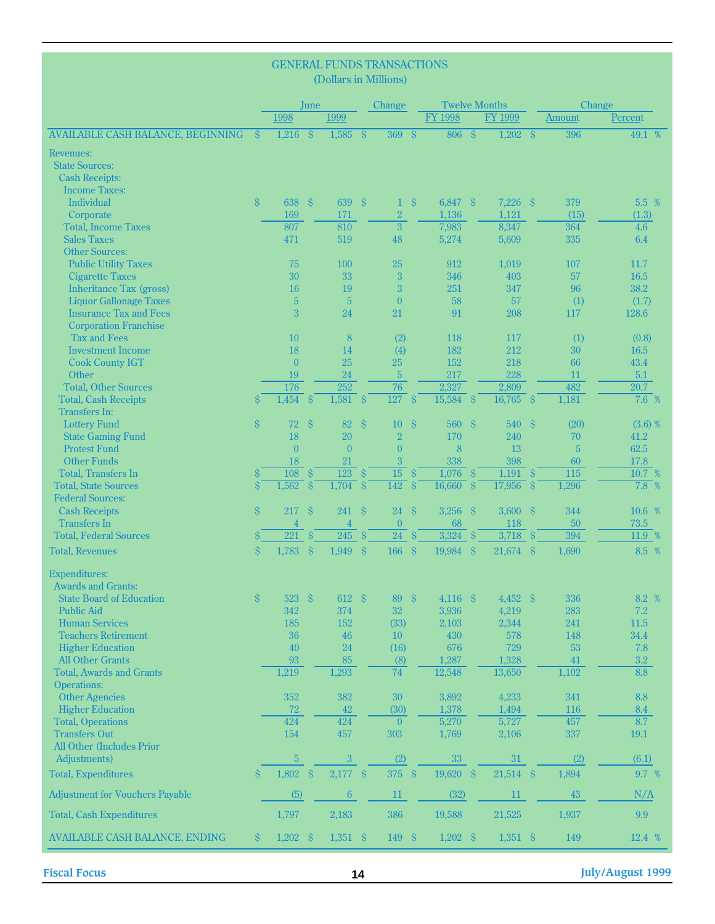|                                                  |                    |                       |                    | (Dollars in Millions) |                     | <b>GENERAL FUNDS TRANSACTIONS</b> |                    |                      |  |                        |  |            |                  |  |  |
|--------------------------------------------------|--------------------|-----------------------|--------------------|-----------------------|---------------------|-----------------------------------|--------------------|----------------------|--|------------------------|--|------------|------------------|--|--|
|                                                  |                    |                       | June               |                       |                     | Change                            |                    | <b>Twelve Months</b> |  |                        |  | Change     |                  |  |  |
|                                                  |                    | 1998                  |                    | 1999                  |                     |                                   |                    | <b>FY 1998</b>       |  | <b>FY 1999</b>         |  | Amount     | Percent          |  |  |
| <b>AVAILABLE CASH BALANCE, BEGINNING</b>         | $\mathcal{S}$      | $1,216$ \$            |                    | $1,585$ \$            |                     | 369S                              |                    | 806S                 |  | $1,202$ \$             |  | 396        | 49.1 %           |  |  |
| Revenues:                                        |                    |                       |                    |                       |                     |                                   |                    |                      |  |                        |  |            |                  |  |  |
| <b>State Sources:</b>                            |                    |                       |                    |                       |                     |                                   |                    |                      |  |                        |  |            |                  |  |  |
| <b>Cash Receipts:</b>                            |                    |                       |                    |                       |                     |                                   |                    |                      |  |                        |  |            |                  |  |  |
| <b>Income Taxes:</b>                             |                    |                       |                    |                       |                     |                                   |                    |                      |  |                        |  |            |                  |  |  |
| Individual                                       | $\hat{S}$          | 638 \$                |                    | 639                   | $\hat{\mathbf{S}}$  | $\mathbf{1}$                      | $\hat{\mathbf{S}}$ | 6,847 \$             |  | $7,226$ \$             |  | 379        | 5.5 %            |  |  |
| Corporate                                        |                    | 169                   |                    | 171                   |                     | $\sqrt{2}$                        |                    | 1,136                |  | 1,121                  |  | (15)       | (1.3)            |  |  |
| <b>Total, Income Taxes</b>                       |                    | 807                   |                    | 810                   |                     | $\overline{3}$                    |                    | 7,983                |  | 8,347                  |  | 364        | 4.6              |  |  |
| <b>Sales Taxes</b><br><b>Other Sources:</b>      |                    | 471                   |                    | 519                   |                     | 48                                |                    | 5,274                |  | 5,609                  |  | 335        | 6.4              |  |  |
| <b>Public Utility Taxes</b>                      |                    | 75                    |                    | 100                   |                     | 25                                |                    | 912                  |  | 1,019                  |  | 107        | 11.7             |  |  |
| <b>Cigarette Taxes</b>                           |                    | 30                    |                    | 33                    |                     | 3                                 |                    | 346                  |  | 403                    |  | 57         | 16.5             |  |  |
| <b>Inheritance Tax (gross)</b>                   |                    | 16                    |                    | 19                    |                     | 3                                 |                    | 251                  |  | 347                    |  | 96         | 38.2             |  |  |
| <b>Liquor Gallonage Taxes</b>                    |                    | 5                     |                    | $5\phantom{.0}$       |                     | $\overline{0}$                    |                    | 58                   |  | 57                     |  | (1)        | (1.7)            |  |  |
| <b>Insurance Tax and Fees</b>                    |                    | 3                     |                    | 24                    |                     | 21                                |                    | 91                   |  | 208                    |  | 117        | 128.6            |  |  |
| <b>Corporation Franchise</b>                     |                    |                       |                    |                       |                     |                                   |                    |                      |  |                        |  |            |                  |  |  |
| <b>Tax and Fees</b>                              |                    | 10                    |                    | 8                     |                     | (2)                               |                    | 118                  |  | 117                    |  | (1)        | (0.8)            |  |  |
| <b>Investment Income</b>                         |                    | 18                    |                    | 14                    |                     | (4)                               |                    | 182                  |  | 212                    |  | 30         | 16.5             |  |  |
| <b>Cook County IGT</b>                           |                    | $\overline{0}$        |                    | 25                    |                     | 25                                |                    | 152                  |  | 218                    |  | 66         | 43.4             |  |  |
| Other<br><b>Total, Other Sources</b>             |                    | 19<br>176             |                    | $24\,$<br>252         |                     | $\sqrt{5}$<br>76                  |                    | 217<br>2,327         |  | 228<br>2,809           |  | 11<br>482  | 5.1<br>20.7      |  |  |
| <b>Total, Cash Receipts</b>                      |                    | 1,454                 | <sub>S</sub>       | 1,581                 | -Ŝ                  | 127                               | <sup>S</sup>       | $15,584$ \$          |  | $16,765$ \$            |  | 1,181      | 7.6 %            |  |  |
| Transfers In:                                    |                    |                       |                    |                       |                     |                                   |                    |                      |  |                        |  |            |                  |  |  |
| <b>Lottery Fund</b>                              | $\hat{\mathbf{S}}$ | $72 \text{ }$ \$      |                    | 82                    | $\hat{\mathbf{S}}$  | 10                                | $\hat{\mathbf{S}}$ | 560 \$               |  | 540S                   |  | (20)       | (3.6) %          |  |  |
| <b>State Gaming Fund</b>                         |                    | 18                    |                    | 20                    |                     | $\sqrt{2}$                        |                    | 170                  |  | 240                    |  | 70         | 41.2             |  |  |
| <b>Protest Fund</b>                              |                    | $\theta$              |                    | $\mathbf{0}$          |                     | $\overline{0}$                    |                    | 8                    |  | 13                     |  | 5          | 62.5             |  |  |
| <b>Other Funds</b>                               |                    | 18                    |                    | 21                    |                     | 3                                 |                    | 338                  |  | 398                    |  | 60         | 17.8             |  |  |
| <b>Total, Transfers In</b>                       |                    | $\overline{108}$ \$   |                    | $\overline{123}$ \$   |                     | $\overline{15}$                   | $\mathcal{S}$      | $1,076$ \$           |  | $1,191$ \$             |  | 115        | $10.7\%$         |  |  |
| <b>Total, State Sources</b>                      | $\hat{\mathbf{S}}$ | 1,562                 | $\mathbf{\hat{S}}$ | 1,704                 | ່\$່                | $\overline{142}$ \$               |                    | $16,660$ \$          |  | $\overline{17,956}$ \$ |  | 1,296      | $7.8\%$          |  |  |
| <b>Federal Sources:</b>                          |                    |                       |                    |                       |                     |                                   |                    |                      |  |                        |  |            |                  |  |  |
| <b>Cash Receipts</b><br><b>Transfers In</b>      | $\hat{\mathbf{S}}$ | 217<br>$\overline{4}$ | $\hat{\mathbf{S}}$ | 241<br>$\overline{4}$ | $\hat{\mathcal{S}}$ | 24<br>$\mathbf{0}$                | $\hat{\mathbf{S}}$ | $3,256$ \$<br>68     |  | $3,600$ \$<br>118      |  | 344<br>50  | 10.6 %<br>73.5   |  |  |
| <b>Total, Federal Sources</b>                    |                    | 221                   | $^{\circ}$ S       | 245                   | $\mathcal{S}$       | $\overline{24}$ \$                |                    | $3,324$ \$           |  | $3,718$ \$             |  | 394        | 11.9%            |  |  |
| <b>Total, Revenues</b>                           | $\dot{\mathbf{S}}$ | $1,783$ \$            |                    | 1,949                 | $\hat{\mathbf{S}}$  | 166S                              |                    | 19,984 \$            |  | $21,674$ \$            |  | 1,690      | 8.5 %            |  |  |
|                                                  |                    |                       |                    |                       |                     |                                   |                    |                      |  |                        |  |            |                  |  |  |
| <b>Expenditures:</b>                             |                    |                       |                    |                       |                     |                                   |                    |                      |  |                        |  |            |                  |  |  |
| <b>Awards and Grants:</b>                        |                    |                       |                    |                       |                     |                                   |                    |                      |  |                        |  |            |                  |  |  |
| <b>State Board of Education</b>                  | <sup>S</sup>       | 523 \$                |                    | $612 \quad S$         |                     | 89 \$                             |                    | $4,116$ \$           |  | $4.452 \quad S$        |  | 336        | 8.2 %            |  |  |
| <b>Public Aid</b><br><b>Human Services</b>       |                    | 342<br>185            |                    | 374<br>152            |                     | 32                                |                    | 3,936                |  | 4,219<br>2,344         |  | 283<br>241 | 7.2<br>11.5      |  |  |
| <b>Teachers Retirement</b>                       |                    | 36                    |                    | 46                    |                     | (33)<br>10                        |                    | 2,103<br>430         |  | 578                    |  | 148        | 34.4             |  |  |
| <b>Higher Education</b>                          |                    | 40                    |                    | 24                    |                     | (16)                              |                    | 676                  |  | 729                    |  | 53         | 7.8              |  |  |
| <b>All Other Grants</b>                          |                    | 93                    |                    | 85                    |                     | (8)                               |                    | 1,287                |  | 1,328                  |  | 41         | $3.2\phantom{0}$ |  |  |
| <b>Total, Awards and Grants</b>                  |                    | 1,219                 |                    | 1,293                 |                     | 74                                |                    | 12,548               |  | 13,650                 |  | 1,102      | 8.8              |  |  |
| Operations:                                      |                    |                       |                    |                       |                     |                                   |                    |                      |  |                        |  |            |                  |  |  |
| <b>Other Agencies</b>                            |                    | 352                   |                    | 382                   |                     | 30                                |                    | 3,892                |  | 4,233                  |  | 341        | 8.8              |  |  |
| <b>Higher Education</b>                          |                    | 72                    |                    | 42                    |                     | (30)                              |                    | 1,378                |  | 1,494                  |  | 116        | 8.4              |  |  |
| <b>Total, Operations</b>                         |                    | 424                   |                    | 424                   |                     | $\overline{0}$                    |                    | 5,270                |  | 5,727                  |  | 457        | 8.7              |  |  |
| <b>Transfers Out</b>                             |                    | 154                   |                    | 457                   |                     | 303                               |                    | 1,769                |  | 2,106                  |  | 337        | 19.1             |  |  |
| <b>All Other (Includes Prior</b><br>Adjustments) |                    | $\overline{5}$        |                    | $\sqrt{3}$            |                     | (2)                               |                    | 33                   |  | $31\,$                 |  | (2)        | (6.1)            |  |  |
| <b>Total, Expenditures</b>                       | S.                 | $1,802$ \$            |                    | $2,177$ \$            |                     | 375 \$                            |                    | $19,620$ \$          |  | $21,514$ \$            |  | 1,894      | 9.7 %            |  |  |
|                                                  |                    |                       |                    |                       |                     |                                   |                    |                      |  |                        |  |            |                  |  |  |
| <b>Adjustment for Vouchers Payable</b>           |                    | (5)                   |                    | $6\phantom{.}6$       |                     | 11                                |                    | (32)                 |  | 11                     |  | 43         | N/A              |  |  |
| <b>Total, Cash Expenditures</b>                  |                    | 1,797                 |                    | 2,183                 |                     | 386                               |                    | 19,588               |  | 21,525                 |  | 1,937      | 9.9              |  |  |
| <b>AVAILABLE CASH BALANCE, ENDING</b>            | <sup>S</sup>       | $1,202$ \$            |                    | $1,351$ \$            |                     | 149S                              |                    | $1,202$ \$           |  | $1,351$ \$             |  | 149        | 12.4 %           |  |  |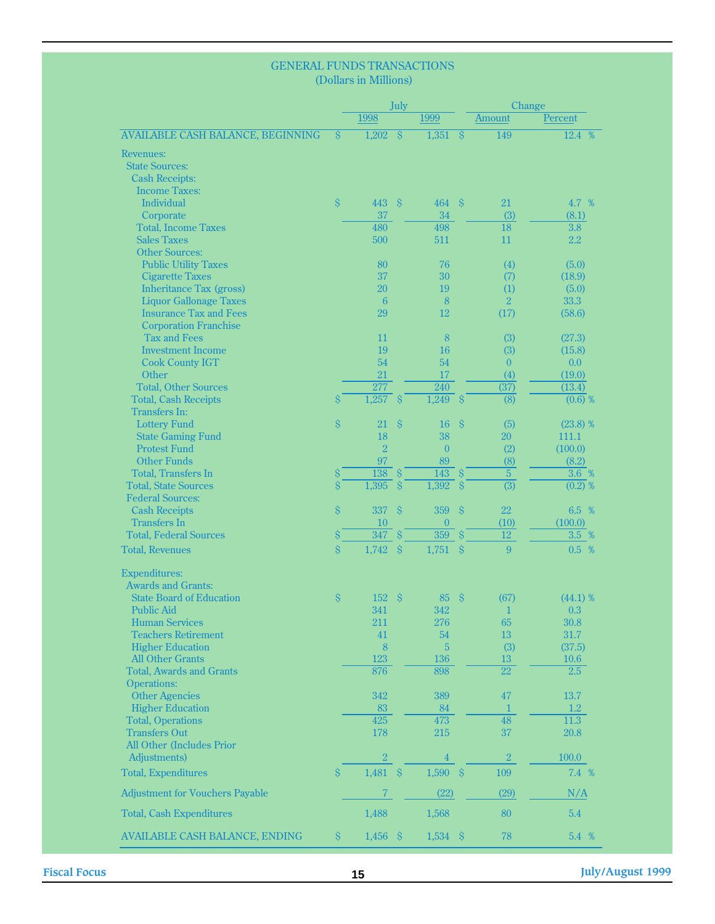#### GENERAL FUNDS TRANSACTIONS (Dollars in Millions)

|                                          |                    |                | July                     |                  |                          | Change           |                      |  |  |
|------------------------------------------|--------------------|----------------|--------------------------|------------------|--------------------------|------------------|----------------------|--|--|
|                                          |                    | 1998           |                          | 1999             |                          | Amount           | Percent              |  |  |
| <b>AVAILABLE CASH BALANCE, BEGINNING</b> | $\hat{\mathbf{S}}$ | 1,202          | $\overline{\mathcal{S}}$ | 1,351            | $\overline{\mathcal{S}}$ | 149              | 12.4 %               |  |  |
| <b>Revenues:</b>                         |                    |                |                          |                  |                          |                  |                      |  |  |
| <b>State Sources:</b>                    |                    |                |                          |                  |                          |                  |                      |  |  |
| <b>Cash Receipts:</b>                    |                    |                |                          |                  |                          |                  |                      |  |  |
| <b>Income Taxes:</b>                     |                    |                |                          |                  |                          |                  |                      |  |  |
| <b>Individual</b>                        | $\hat{\mathbf{S}}$ | 443            | -Ŝ                       | 464              | $\mathcal{S}$            | 21               | 4.7 %                |  |  |
| Corporate                                |                    | 37             |                          | 34               |                          | (3)              | (8.1)                |  |  |
| <b>Total, Income Taxes</b>               |                    | 480            |                          | 498              |                          | 18               | $\overline{3.8}$     |  |  |
| <b>Sales Taxes</b>                       |                    | 500            |                          | 511              |                          | 11               | 2.2                  |  |  |
| <b>Other Sources:</b>                    |                    |                |                          |                  |                          |                  |                      |  |  |
| <b>Public Utility Taxes</b>              |                    | 80             |                          | 76               |                          | (4)              | (5.0)                |  |  |
| <b>Cigarette Taxes</b>                   |                    | 37             |                          | 30               |                          | (7)              | (18.9)               |  |  |
| <b>Inheritance Tax (gross)</b>           |                    | 20             |                          | 19               |                          | (1)              | (5.0)                |  |  |
| <b>Liquor Gallonage Taxes</b>            |                    | 6              |                          | 8                |                          | $\overline{2}$   | 33.3                 |  |  |
| <b>Insurance Tax and Fees</b>            |                    | 29             |                          | 12               |                          | (17)             | (58.6)               |  |  |
| <b>Corporation Franchise</b>             |                    |                |                          |                  |                          |                  |                      |  |  |
| <b>Tax and Fees</b>                      |                    | 11             |                          | $\boldsymbol{8}$ |                          | (3)              | (27.3)               |  |  |
| <b>Investment Income</b>                 |                    | 19             |                          | 16               |                          | (3)              | (15.8)               |  |  |
| <b>Cook County IGT</b>                   |                    | 54             |                          | 54               |                          | $\overline{0}$   | 0.0                  |  |  |
| Other                                    |                    | 21             |                          | 17               |                          | (4)              | (19.0)               |  |  |
| <b>Total, Other Sources</b>              |                    | 277            |                          | 240              |                          | (37)             | (13.4)               |  |  |
| <b>Total, Cash Receipts</b>              | $\hat{\mathbf{S}}$ | 1,257          | $\sqrt{S}$               | $1,249$ \$       |                          | $\overline{(8)}$ | (0.6) %              |  |  |
| <b>Transfers In:</b>                     |                    |                |                          |                  |                          |                  |                      |  |  |
| <b>Lottery Fund</b>                      | $\hat{\mathsf{S}}$ | 21             | $\hat{\mathbf{S}}$       | 16               | $\hat{\mathcal{S}}$      | (5)              | (23.8) %             |  |  |
| <b>State Gaming Fund</b>                 |                    | 18             |                          | 38               |                          | 20               | 111.1                |  |  |
| <b>Protest Fund</b>                      |                    | $\overline{2}$ |                          | $\overline{0}$   |                          | (2)              | (100.0)              |  |  |
| <b>Other Funds</b>                       |                    | 97             |                          | 89               |                          | (8)              | (8.2)                |  |  |
| <b>Total, Transfers In</b>               | \$                 | 138            | $\hat{\mathbf{S}}$       | 143              | $\hat{\mathcal{S}}$      | $\overline{5}$   | $3.6\%$              |  |  |
| <b>Total, State Sources</b>              | $\hat{\mathbf{S}}$ | 1,395          | $\hat{S}$                | 1,392            | $\hat{\mathbf{S}}$       | $\overline{(3)}$ | $\overline{(0.2)}$ % |  |  |
| <b>Federal Sources:</b>                  |                    |                |                          |                  |                          |                  |                      |  |  |
| <b>Cash Receipts</b>                     | $\hat{\mathbf{S}}$ | 337            | $\hat{\mathcal{S}}$      | 359              | $\hat{\mathbf{S}}$       | 22               | 6.5 %                |  |  |
| <b>Transfers In</b>                      |                    | 10             |                          | $\overline{0}$   |                          | (10)             | (100.0)              |  |  |
| <b>Total, Federal Sources</b>            | $\hat{\mathsf{S}}$ | 347            | $\hat{\mathbf{S}}$       | 359              | $\hat{\mathbf{S}}$       | $\overline{12}$  | 3.5 %                |  |  |
| <b>Total, Revenues</b>                   | $\hat{\mathbf{S}}$ | 1,742          | $\hat{\mathbf{S}}$       | 1,751            | $\hat{\mathbf{S}}$       | 9                | 0.5 %                |  |  |
|                                          |                    |                |                          |                  |                          |                  |                      |  |  |
| <b>Expenditures:</b>                     |                    |                |                          |                  |                          |                  |                      |  |  |
| <b>Awards and Grants:</b>                |                    |                |                          |                  |                          |                  |                      |  |  |
| <b>State Board of Education</b>          | $\hat{\mathbf{S}}$ | 152            | $\hat{\mathbf{S}}$       | 85               | $\hat{\mathcal{S}}$      | (67)             | (44.1) %             |  |  |
| <b>Public Aid</b>                        |                    | 341            |                          | 342              |                          | 1                | 0.3                  |  |  |
| <b>Human Services</b>                    |                    | 211            |                          | 276              |                          | 65               | 30.8                 |  |  |
| <b>Teachers Retirement</b>               |                    | 41             |                          | 54               |                          | 13               | 31.7                 |  |  |
| <b>Higher Education</b>                  |                    | $\overline{8}$ |                          | 5                |                          | (3)              | (37.5)               |  |  |
| <b>All Other Grants</b>                  |                    | 123            |                          | 136              |                          | 13               | 10.6                 |  |  |
| <b>Total. Awards and Grants</b>          |                    | 876            |                          | 898              |                          | $\overline{22}$  | 2.5                  |  |  |
| <b>Operations:</b>                       |                    |                |                          |                  |                          |                  |                      |  |  |
| <b>Other Agencies</b>                    |                    | 342            |                          | 389              |                          | 47               | 13.7                 |  |  |
| <b>Higher Education</b>                  |                    | 83             |                          | 84               |                          | $\mathbf{1}$     | 1.2                  |  |  |
| <b>Total, Operations</b>                 |                    | 425            |                          | 473              |                          | 48               | 11.3                 |  |  |
| <b>Transfers Out</b>                     |                    | 178            |                          | 215              |                          | 37               | 20.8                 |  |  |
| <b>All Other (Includes Prior</b>         |                    |                |                          |                  |                          |                  |                      |  |  |
| Adjustments)                             |                    | $\overline{2}$ |                          | $\overline{4}$   |                          | $\sqrt{2}$       | 100.0                |  |  |
| <b>Total, Expenditures</b>               | $\hat{\mathbf{S}}$ | 1,481          | $\hat{\mathcal{S}}$      | $1,590$ \$       |                          | 109              | 7.4 %                |  |  |
| <b>Adjustment for Vouchers Payable</b>   |                    | $\overline{7}$ |                          | (22)             |                          | (29)             | N/A                  |  |  |
| <b>Total, Cash Expenditures</b>          |                    | 1,488          |                          | 1,568            |                          | 80               | 5.4                  |  |  |
| <b>AVAILABLE CASH BALANCE, ENDING</b>    | $\hat{\mathbf{S}}$ | $1,456$ \$     |                          | $1,534$ \$       |                          | 78               | 5.4 %                |  |  |

**Fiscal Focus 15 July/August 1999**